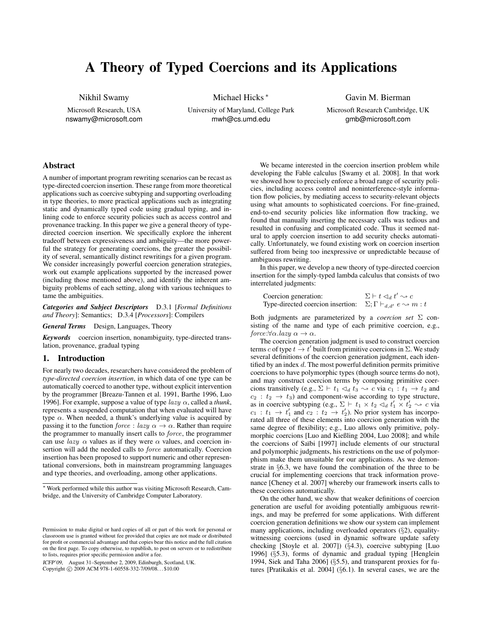# A Theory of Typed Coercions and its Applications

Nikhil Swamy

Microsoft Research, USA nswamy@microsoft.com Michael Hicks <sup>∗</sup>

University of Maryland, College Park mwh@cs.umd.edu

Gavin M. Bierman Microsoft Research Cambridge, UK gmb@microsoft.com

# Abstract

A number of important program rewriting scenarios can be recast as type-directed coercion insertion. These range from more theoretical applications such as coercive subtyping and supporting overloading in type theories, to more practical applications such as integrating static and dynamically typed code using gradual typing, and inlining code to enforce security policies such as access control and provenance tracking. In this paper we give a general theory of typedirected coercion insertion. We specifically explore the inherent tradeoff between expressiveness and ambiguity—the more powerful the strategy for generating coercions, the greater the possibility of several, semantically distinct rewritings for a given program. We consider increasingly powerful coercion generation strategies, work out example applications supported by the increased power (including those mentioned above), and identify the inherent ambiguity problems of each setting, along with various techniques to tame the ambiguities.

*Categories and Subject Descriptors* D.3.1 [*Formal Definitions and Theory*]: Semantics; D.3.4 [*Processors*]: Compilers

*General Terms* Design, Languages, Theory

*Keywords* coercion insertion, nonambiguity, type-directed translation, provenance, gradual typing

## 1. Introduction

For nearly two decades, researchers have considered the problem of *type-directed coercion insertion*, in which data of one type can be automatically coerced to another type, without explicit intervention by the programmer [Breazu-Tannen et al. 1991, Barthe 1996, Luo 1996]. For example, suppose a value of type  $lazy \alpha$ , called a *thunk*, represents a suspended computation that when evaluated will have type  $\alpha$ . When needed, a thunk's underlying value is acquired by passing it to the function  $force: lazy \alpha \rightarrow \alpha$ . Rather than require the programmer to manually insert calls to force, the programmer can use *lazy*  $\alpha$  values as if they were  $\alpha$  values, and coercion insertion will add the needed calls to force automatically. Coercion insertion has been proposed to support numeric and other representational conversions, both in mainstream programming languages and type theories, and overloading, among other applications.

ICFP'09, August 31–September 2, 2009, Edinburgh, Scotland, UK.

Copyright © 2009 ACM 978-1-60558-332-7/09/08... \$10.00

We became interested in the coercion insertion problem while developing the Fable calculus [Swamy et al. 2008]. In that work we showed how to precisely enforce a broad range of security policies, including access control and noninterference-style information flow policies, by mediating access to security-relevant objects using what amounts to sophisticated coercions. For fine-grained, end-to-end security policies like information flow tracking, we found that manually inserting the necessary calls was tedious and resulted in confusing and complicated code. Thus it seemed natural to apply coercion insertion to add security checks automatically. Unfortunately, we found existing work on coercion insertion suffered from being too inexpressive or unpredictable because of ambiguous rewriting.

In this paper, we develop a new theory of type-directed coercion insertion for the simply-typed lambda calculus that consists of two interrelated judgments:

| Coercion generation:                                                                         | $\Sigma \vdash t \lhd_d t' \rightsquigarrow c$ |
|----------------------------------------------------------------------------------------------|------------------------------------------------|
| Type-directed coercion insertion: $\Sigma$ ; $\Gamma \vdash_{d,d'} e \rightsquigarrow m : t$ |                                                |

Both judgments are parameterized by a *coercion set* Σ consisting of the name and type of each primitive coercion, e.g.,  $force:\forall \alpha \ lazy \alpha \rightarrow \alpha.$ 

The coercion generation judgment is used to construct coercion terms c of type  $t \to t'$  built from primitive coercions in  $\Sigma$ . We study several definitions of the coercion generation judgment, each identified by an index  $d$ . The most powerful definition permits primitive coercions to have polymorphic types (though source terms do not), and may construct coercion terms by composing primitive coercions transitively (e.g.,  $\Sigma \vdash t_1 \triangleleft_d t_3 \rightsquigarrow c$  via  $c_1 : t_1 \rightarrow t_2$  and  $c_2$ :  $t_2 \rightarrow t_3$ ) and component-wise according to type structure, as in coercive subtyping (e.g.,  $\Sigma \vdash t_1 \times t_2 \triangleleft_d t'_1 \times t'_2 \leadsto c$  via  $c_1$ :  $t_1 \rightarrow t'_1$  and  $c_2$ :  $t_2 \rightarrow t'_2$ ). No prior system has incorporated all three of these elements into coercion generation with the same degree of flexibility; e.g., Luo allows only primitive, polymorphic coercions [Luo and Kießling 2004, Luo 2008]; and while the coercions of Saïbi [1997] include elements of our structural and polymorphic judgments, his restrictions on the use of polymorphism make them unsuitable for our applications. As we demonstrate in §6.3, we have found the combination of the three to be crucial for implementing coercions that track information provenance [Cheney et al. 2007] whereby our framework inserts calls to these coercions automatically.

On the other hand, we show that weaker definitions of coercion generation are useful for avoiding potentially ambiguous rewritings, and may be preferred for some applications. With different coercion generation definitions we show our system can implement many applications, including overloaded operators (§2), equalitywitnessing coercions (used in dynamic software update safety checking [Stoyle et al. 2007]) (§4.3), coercive subtyping [Luo 1996] (§5.3), forms of dynamic and gradual typing [Henglein 1994, Siek and Taha 2006] (§5.5), and transparent proxies for futures [Pratikakis et al. 2004] (§6.1). In several cases, we are the

<sup>∗</sup> Work performed while this author was visiting Microsoft Research, Cambridge, and the University of Cambridge Computer Laboratory.

Permission to make digital or hard copies of all or part of this work for personal or classroom use is granted without fee provided that copies are not made or distributed for profit or commercial advantage and that copies bear this notice and the full citation on the first page. To copy otherwise, to republish, to post on servers or to redistribute to lists, requires prior specific permission and/or a fee.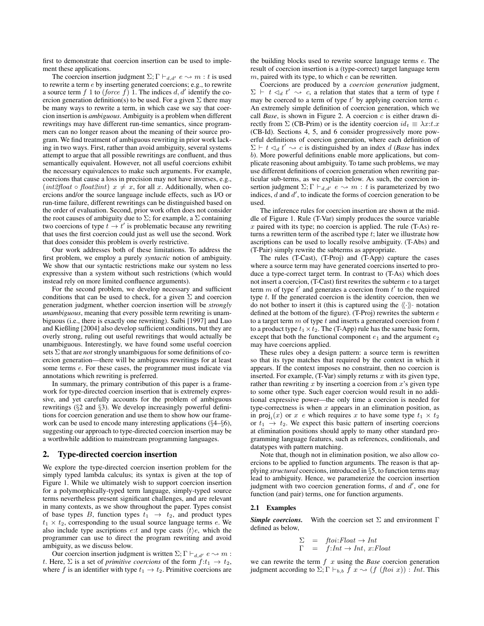first to demonstrate that coercion insertion can be used to implement these applications.

The coercion insertion judgment  $\Sigma$ ;  $\Gamma \vdash_{d,d'} e \leadsto m : t$  is used to rewrite a term e by inserting generated coercions; e.g., to rewrite a source term f 1 to (force f) 1. The indices d, d' identify the coercion generation definition(s) to be used. For a given  $\Sigma$  there may be many ways to rewrite a term, in which case we say that coercion insertion is *ambiguous*. Ambiguity is a problem when different rewritings may have different run-time semantics, since programmers can no longer reason about the meaning of their source program. We find treatment of ambiguous rewriting in prior work lacking in two ways. First, rather than avoid ambiguity, several systems attempt to argue that all possible rewritings are confluent, and thus semantically equivalent. However, not all useful coercions exhibit the necessary equivalences to make such arguments. For example, coercions that cause a loss in precision may not have inverses, e.g.,  $(int2float \circ float2int) x \neq x$ , for all x. Additionally, when coercions and/or the source language include effects, such as I/O or run-time failure, different rewritings can be distinguished based on the order of evaluation. Second, prior work often does not consider the root causes of ambiguity due to  $\Sigma$ ; for example, a  $\Sigma$  containing two coercions of type  $t \to t'$  is problematic because any rewriting that uses the first coercion could just as well use the second. Work that does consider this problem is overly restrictive.

Our work addresses both of these limitations. To address the first problem, we employ a purely *syntactic* notion of ambiguity. We show that our syntactic restrictions make our system no less expressive than a system without such restrictions (which would instead rely on more limited confluence arguments).

For the second problem, we develop necessary and sufficient conditions that can be used to check, for a given  $\Sigma$  and coercion generation judgment, whether coercion insertion will be *strongly unambiguous*, meaning that every possible term rewriting is unambiguous (i.e., there is exactly one rewriting). Saïbi [1997] and Luo and Kießling [2004] also develop sufficient conditions, but they are overly strong, ruling out useful rewritings that would actually be unambiguous. Interestingly, we have found some useful coercion sets Σ that are *not* strongly unambiguous for some definitions of coercion generation—there will be ambiguous rewritings for at least some terms e. For these cases, the programmer must indicate via annotations which rewriting is preferred.

In summary, the primary contribution of this paper is a framework for type-directed coercion insertion that is extremely expressive, and yet carefully accounts for the problem of ambiguous rewritings (§2 and §3). We develop increasingly powerful definitions for coercion generation and use them to show how our framework can be used to encode many interesting applications (§4–§6), suggesting our approach to type-directed coercion insertion may be a worthwhile addition to mainstream programming languages.

## 2. Type-directed coercion insertion

We explore the type-directed coercion insertion problem for the simply typed lambda calculus; its syntax is given at the top of Figure 1. While we ultimately wish to support coercion insertion for a polymorphically-typed term language, simply-typed source terms nevertheless present significant challenges, and are relevant in many contexts, as we show throughout the paper. Types consist of base types B, function types  $t_1 \rightarrow t_2$ , and product types  $t_1 \times t_2$ , corresponding to the usual source language terms e. We also include type ascriptions *e:t* and type casts  $\langle t \rangle e$ , which the programmer can use to direct the program rewriting and avoid ambiguity, as we discuss below.

Our coercion insertion judgment is written  $\Sigma$ ;  $\Gamma \vdash_{d,d'} e \rightsquigarrow m$ : t. Here,  $\Sigma$  is a set of *primitive coercions* of the form  $f:t_1 \rightarrow t_2$ , where f is an identifier with type  $t_1 \rightarrow t_2$ . Primitive coercions are the building blocks used to rewrite source language terms e. The result of coercion insertion is a (type-correct) target language term  $m$ , paired with its type, to which  $e$  can be rewritten.

Coercions are produced by a *coercion generation* judgment,  $\Sigma$   $\vdash$  t  $\triangleleft_d$  t'  $\leadsto$  c, a relation that states that a term of type t may be coerced to a term of type  $t'$  by applying coercion term  $c$ . An extremely simple definition of coercion generation, which we call *Base*, is shown in Figure 2. A coercion c is either drawn directly from  $\Sigma$  (CB-Prim) or is the identity coercion  $id_t \equiv \lambda x : t.x$ (CB-Id). Sections 4, 5, and 6 consider progressively more powerful definitions of coercion generation, where each definition of  $\Sigma \vdash t \triangleleft_d t' \leadsto c$  is distinguished by an index d (*Base* has index b). More powerful definitions enable more applications, but complicate reasoning about ambiguity. To tame such problems, we may use different definitions of coercion generation when rewriting particular sub-terms, as we explain below. As such, the coercion insertion judgment  $\Sigma$ ;  $\Gamma \vdash_{d,d'} e \leadsto m : t$  is parameterized by two indices,  $d$  and  $d'$ , to indicate the forms of coercion generation to be used.

The inference rules for coercion insertion are shown at the middle of Figure 1. Rule (T-Var) simply produces the source variable  $x$  paired with its type; no coercion is applied. The rule (T-As) returns a rewritten term of the ascribed type  $t$ ; later we illustrate how ascriptions can be used to locally resolve ambiguity. (T-Abs) and (T-Pair) simply rewrite the subterms as appropriate.

The rules (T-Cast), (T-Proj) and (T-App) capture the cases where a source term may have generated coercions inserted to produce a type-correct target term. In contrast to (T-As) which does not insert a coercion, (T-Cast) first rewrites the subterm e to a target term  $m$  of type  $t'$  and generates a coercion from  $t'$  to the required type t. If the generated coercion is the identity coercion, then we do not bother to insert it (this is captured using the  $\langle\langle \cdot \rangle\rangle$  notation defined at the bottom of the figure). (T-Proj) rewrites the subterm  $e$ to a target term  $m$  of type  $t$  and inserts a generated coercion from  $t$ to a product type  $t_1 \times t_2$ . The (T-App) rule has the same basic form, except that both the functional component  $e_1$  and the argument  $e_2$ may have coercions applied.

These rules obey a design pattern: a source term is rewritten so that its type matches that required by the context in which it appears. If the context imposes no constraint, then no coercion is inserted. For example,  $(T-Var)$  simply returns x with its given type, rather than rewriting x by inserting a coercion from  $x$ 's given type to some other type. Such eager coercion would result in no additional expressive power—the only time a coercion is needed for type-correctness is when  $x$  appears in an elimination position, as in proj<sub>i</sub> $(x)$  or x e which requires x to have some type  $t_1 \times t_2$ or  $t_1 \rightarrow t_2$ . We expect this basic pattern of inserting coercions at elimination positions should apply to many other standard programming language features, such as references, conditionals, and datatypes with pattern matching.

Note that, though not in elimination position, we also allow coercions to be applied to function arguments. The reason is that applying *structural* coercions, introduced in §5, to function terms may lead to ambiguity. Hence, we parameterize the coercion insertion judgment with two coercion generation forms,  $d$  and  $d'$ , one for function (and pair) terms, one for function arguments.

# 2.1 Examples

*Simple coercions.* With the coercion set  $\Sigma$  and environment  $\Gamma$ defined as below,

$$
\begin{array}{rcl}\n\Sigma & = & ftoi: Float \rightarrow Int \\
\Gamma & = & f:Int \rightarrow Int, x: Float\n\end{array}
$$

we can rewrite the term  $f(x)$  using the *Base* coercion generation judgment according to  $\Sigma$ ; Γ  $\vdash_{b,b} f x \rightsquigarrow (f (ftoi x))$ : Int. This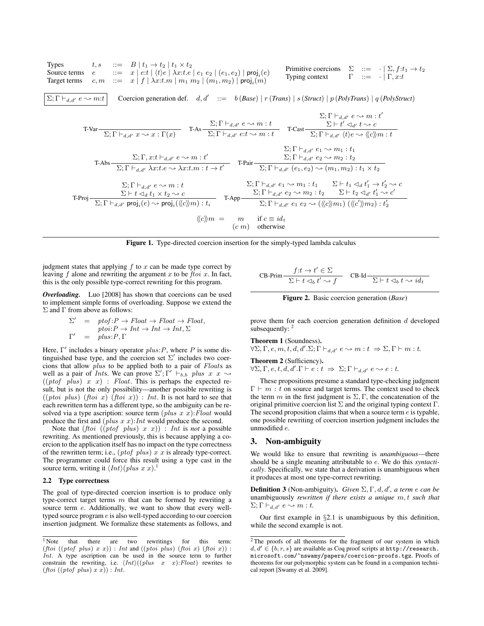| Types | $t, s$ | $\varepsilon$ | $\varepsilon$ | $\varepsilon$ | $\varepsilon$ | $\varepsilon$ | $\varepsilon$ | $\varepsilon$ | $\varepsilon$ | $\varepsilon$ | $\varepsilon$ | $\varepsilon$ | $\varepsilon$ | $\varepsilon$ | $\varepsilon$ | $\varepsilon$ | $\varepsilon$ | $\varepsilon$ | $\varepsilon$ | $\varepsilon$ | $\varepsilon$ | $\varepsilon$ | $\varepsilon$ | $\varepsilon$ | $\varepsilon$ | $\varepsilon$ | $\varepsilon$ | $\varepsilon$ | $\varepsilon$ | $\varepsilon$ | $\varepsilon$ | $\varepsilon$ | $\varepsilon$ | $\varepsilon$ | $\varepsilon$ | $\varepsilon$ | $\varepsilon$ | $\varepsilon$ | $\varepsilon$ | $\varepsilon$ | $\varepsilon$ | $\varepsilon$ | $\varepsilon$ | $\varepsilon$ | $\varepsilon$ | $\varepsilon$ | $\varepsilon$ | $\varepsilon$ | $\varepsilon$ | $\varepsilon$ | $\varepsilon$ | $\varepsilon$ | $\varepsilon$ | $\varepsilon$ | $\varepsilon$ | $\varepsilon$ | $\varepsilon$ | $\varepsilon$ |
|-------|--------|---------------|---------------|---------------|---------------|---------------|---------------|---------------|---------------|---------------|---------------|---------------|---------------|---------------|---------------|---------------|---------------|---------------|---------------|---------------|---------------|---------------|---------------|---------------|---------------|---------------|---------------|---------------|---------------|---------------|---------------|---------------|---------------|---------------|---------------|---------------|---------------|---------------|---------------|---------------|---------------|---------------|---------------|---------------|---------------|---------------|---------------|---------------|---------------|---------------|---------------|---------------|---------------|---------------|---------------|---------------|---------------|---------------|
|-------|--------|---------------|---------------|---------------|---------------|---------------|---------------|---------------|---------------|---------------|---------------|---------------|---------------|---------------|---------------|---------------|---------------|---------------|---------------|---------------|---------------|---------------|---------------|---------------|---------------|---------------|---------------|---------------|---------------|---------------|---------------|---------------|---------------|---------------|---------------|---------------|---------------|---------------|---------------|---------------|---------------|---------------|---------------|---------------|---------------|---------------|---------------|---------------|---------------|---------------|---------------|---------------|---------------|---------------|---------------|---------------|---------------|---------------|



judgment states that applying  $f$  to  $x$  can be made type correct by leaving  $f$  alone and rewriting the argument  $x$  to be  $ftoi$   $x$ . In fact, this is the only possible type-correct rewriting for this program.

*Overloading.* Luo [2008] has shown that coercions can be used to implement simple forms of overloading. Suppose we extend the Σ and Γ from above as follows:

$$
\Sigma' = \text{ptof} : P \to \text{Float} \to \text{Float} \to \text{Float},
$$
  
\n
$$
\text{ptoi} : P \to \text{Int} \to \text{Int} \to \text{Int}, \Sigma
$$
  
\n
$$
\Gamma' = \text{plus} : P, \Gamma
$$

Here,  $\Gamma'$  includes a binary operator  $plus: P$ , where P is some distinguished base type, and the coercion set  $\Sigma'$  includes two coercions that allow plus to be applied both to a pair of Floats as well as a pair of *Ints*. We can prove  $\Sigma'$ ;  $\Gamma' \vdash_{b,b}^{\bullet}$  plus  $x \propto \infty$  $((ptof \; plus) \; x \; x)$  : Float. This is perhaps the expected result, but is not the only possibility—another possible rewriting is  $((ptoi \ plus) (ftoi \ x) (ftoi \ x)) : Int. It is not hard to see that$ each rewritten term has a different type, so the ambiguity can be resolved via a type ascription: source term  $(plus x x):$ Float would produce the first and  $(plus x x): Int$  would produce the second.

Note that  $(ftoi \ (\overline{ptof \ plus}) \ x \ x))$ : Int is not a possible rewriting. As mentioned previously, this is because applying a coercion to the application itself has no impact on the type correctness of the rewritten term; i.e.,  $(p\text{tof} \text{plus}) x x$  is already type-correct. The programmer could force this result using a type cast in the source term, writing it  $\langle Int \rangle$ (*plus x x*).<sup>1</sup>

# 2.2 Type correctness

The goal of type-directed coercion insertion is to produce only type-correct target terms  $m$  that can be formed by rewriting a source term e. Additionally, we want to show that every welltyped source program e is also well-typed according to our coercion insertion judgment. We formalize these statements as follows, and

CB-Prim
$$
\frac{f:t \to t' \in \Sigma}{\Sigma \vdash t \triangleleft_b t' \sim f}
$$
 CB-Id
$$
\frac{\Sigma \vdash t \triangleleft_b t \sim id_t}{\Sigma \vdash t \triangleleft_b t \sim id_t}
$$

Figure 2. Basic coercion generation (*Base*)

prove them for each coercion generation definition  $d$  developed subsequently: <sup>2</sup>

Theorem 1 (Soundness).  $\forall \Sigma, \Gamma, e, m, t, d, d'.\Sigma; \Gamma \vdash_{d,d'} e \leadsto m : t \Rightarrow \Sigma, \Gamma \vdash m : t.$ 

Theorem 2 (Sufficiency).  $\forall \Sigma, \Gamma, e, t, d, d'.\Gamma \vdash e : t \Rightarrow \Sigma; \Gamma \vdash_{d,d'} e \rightsquigarrow e : t.$ 

These propositions presume a standard type-checking judgment  $\Gamma \vdash m : t$  on source and target terms. The context used to check the term m in the first judgment is  $\Sigma$ , Γ, the concatenation of the original primitive coercion list  $\Sigma$  and the original typing context  $\Gamma$ . The second proposition claims that when a source term  $e$  is typable, one possible rewriting of coercion insertion judgment includes the unmodified e.

# 3. Non-ambiguity

We would like to ensure that rewriting is *unambiguous*—there should be a single meaning attributable to e. We do this *syntactically*. Specifically, we state that a derivation is unambiguous when it produces at most one type-correct rewriting.

**Definition 3** (Non-ambiguity). *Given*  $\Sigma$ ,  $\Gamma$ ,  $d$ ,  $d'$ , a term e can be unambiguously *rewritten if there exists a unique* m, t *such that*  $\Sigma ; \Gamma \vdash_{d.d'}^{\text{}} e \leadsto m : t.$ 

Our first example in §2.1 is unambiguous by this definition, while the second example is not.

<sup>&</sup>lt;sup>1</sup> Note that there are two rewritings for this term:  $(ftoi ((ptof plus) x x)) : Int and ((ptoi plus) (ftoi x) (ftoi x)) :$ Int. A type ascription can be used in the source term to further constrain the rewriting, i.e.  $\langle Int \rangle((plus \ x \ x):Float)$  rewrites to  $(ftoi \;((ptof \; plus) \; x \; x))$ : Int.

<sup>2</sup> The proofs of all theorems for the fragment of our system in which  $d, d' \in \{b, r, s\}$  are available as Coq proof scripts at http://research. microsoft.com/~nswamy/papers/coercion-proofs.tgz. Proofs of theorems for our polymorphic system can be found in a companion technical report [Swamy et al. 2009].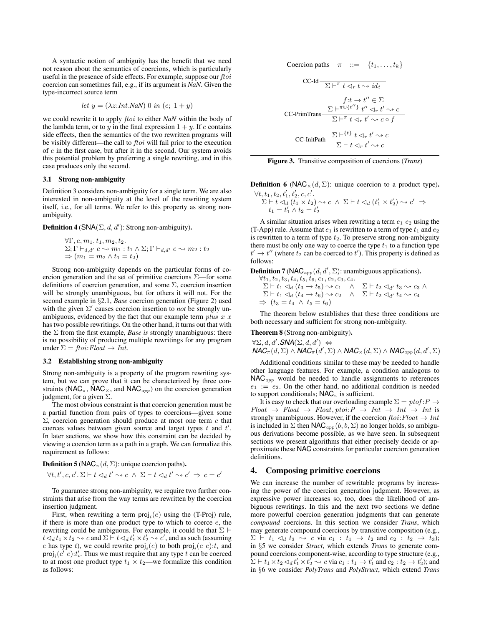A syntactic notion of ambiguity has the benefit that we need not reason about the semantics of coercions, which is particularly useful in the presence of side effects. For example, suppose our  $ftoi$ coercion can sometimes fail, e.g., if its argument is *NaN*. Given the type-incorrect source term

$$
let y = (\lambda z: Int.NaN) 0 in (e; 1+y)
$$

we could rewrite it to apply ftoi to either *NaN* within the body of the lambda term, or to y in the final expression  $1 + y$ . If e contains side effects, then the semantics of the two rewritten programs will be visibly different—the call to ftoi will fail prior to the execution of e in the first case, but after it in the second. Our system avoids this potential problem by preferring a single rewriting, and in this case produces only the second.

## 3.1 Strong non-ambiguity

Definition 3 considers non-ambiguity for a single term. We are also interested in non-ambiguity at the level of the rewriting system itself, i.e., for all terms. We refer to this property as strong nonambiguity.

**Definition 4** ( $\mathsf{SNA}(\Sigma, d, d')$ : Strong non-ambiguity).

$$
\forall \Gamma, e, m_1, t_1, m_2, t_2.
$$
  
\n
$$
\Sigma; \Gamma \vdash_{d,d'} e \sim m_1 : t_1 \wedge \Sigma; \Gamma \vdash_{d,d'} e \sim m_2 : t_2
$$
  
\n
$$
\Rightarrow (m_1 = m_2 \wedge t_1 = t_2)
$$

Strong non-ambiguity depends on the particular forms of coercion generation and the set of primitive coercions  $\Sigma$ —for some definitions of coercion generation, and some  $\Sigma$ , coercion insertion will be strongly unambiguous, but for others it will not. For the second example in §2.1, *Base* coercion generation (Figure 2) used with the given  $\Sigma'$  causes coercion insertion to *not* be strongly unambiguous, evidenced by the fact that our example term  $plus x x$ has two possible rewritings. On the other hand, it turns out that with the Σ from the first example, *Base is* strongly unambiguous: there is no possibility of producing multiple rewritings for any program under  $\Sigma = ftoi: Float \rightarrow Int.$ 

#### 3.2 Establishing strong non-ambiguity

Strong non-ambiguity is a property of the program rewriting system, but we can prove that it can be characterized by three constraints (NAC<sub>π</sub>, NAC<sub>×</sub>, and NAC<sub>app</sub>) on the coercion generation judgment, for a given  $\Sigma$ .

The most obvious constraint is that coercion generation must be a partial function from pairs of types to coercions—given some Σ, coercion generation should produce at most one term c that coerces values between given source and target types  $t$  and  $t'$ . In later sections, we show how this constraint can be decided by viewing a coercion term as a path in a graph. We can formalize this requirement as follows:

**Definition 5** (NAC<sub>π</sub>( $d$ ,  $\Sigma$ ): unique coercion paths).

$$
\forall t, t', c, c'. \Sigma \vdash t \lhd_d t' \land c \land \Sigma \vdash t \lhd_d t' \land c' \Rightarrow c = c'
$$

To guarantee strong non-ambiguity, we require two further constraints that arise from the way terms are rewritten by the coercion insertion judgment.

First, when rewriting a term  $proj_i(e)$  using the (T-Proj) rule, if there is more than one product type to which to coerce  $e$ , the rewriting could be ambiguous. For example, it could be that  $\Sigma \vdash$  $t \triangleleft_d t_1 \times t_2 \rightsquigarrow c$  and  $\Sigma \vdash t \triangleleft_d t'_1 \times t'_2 \rightsquigarrow c'$ , and as such (assuming e has type t), we could rewrite  $\text{proj}_i(e)$  to both  $\text{proj}_i(e|e)$ : t<sub>i</sub> and proj<sub>i</sub> $(c'e)$ : $t'_{i}$ . Thus we must require that any type t can be coerced to at most one product type  $t_1 \times t_2$ —we formalize this condition as follows:

Coercion paths  $\pi$  ::=  $\{t_1, \ldots, t_k\}$ 

CC-Id Σ ` π t ✁<sup>r</sup> t ❀ id<sup>t</sup> CC-PrimTrans f:t → t <sup>00</sup> ∈ Σ Σ ` π]{t <sup>00</sup>} t <sup>00</sup> ✁<sup>r</sup> t <sup>0</sup> ❀ c Σ ` π t ✁<sup>r</sup> t <sup>0</sup> ❀ c ◦ f CC-InitPath <sup>Σ</sup> ` {t} t ✁<sup>r</sup> t <sup>0</sup> ❀ c Σ ` t ✁<sup>r</sup> t <sup>0</sup> ❀ c

|  |  |  |  | Figure 3. Transitive composition of coercions (Trans) |
|--|--|--|--|-------------------------------------------------------|
|--|--|--|--|-------------------------------------------------------|

**Definition 6** (NAC<sub>×</sub>( $d$ ,  $\Sigma$ ): unique coercion to a product type).  $\forall t, t_1, t_2, t'_1, t'_2, c, c'$ 

$$
\forall t, t_1, t_2, t'_1, t'_2, c, c'.
$$
  
\n
$$
\Sigma \vdash t \triangleleft_d (t_1 \times t_2) \rightsquigarrow c \land \Sigma \vdash t \triangleleft_d (t'_1 \times t'_2) \rightsquigarrow c' \Rightarrow
$$
  
\n
$$
t_1 = t'_1 \land t_2 = t'_2
$$

A similar situation arises when rewriting a term  $e_1$   $e_2$  using the (T-App) rule. Assume that  $e_1$  is rewritten to a term of type  $t_1$  and  $e_2$ is rewritten to a term of type  $t_2$ . To preserve strong non-ambiguity there must be only one way to coerce the type  $t_1$  to a function type  $t' \rightarrow t''$  (where  $t_2$  can be coerced to  $t'$ ). This property is defined as follows:

**Definition 7** (NAC<sub>app</sub>(
$$
d, d', \Sigma
$$
): unambiguous applications).

 $\forall t_1, t_2, t_3, t_4, t_5, t_6, c_1, c_2, c_3, c_4.$  $\Sigma \vdash t_1 \lhd_d (t_3 \rightarrow t_5) \rightsquigarrow c_1 \quad \wedge \quad \Sigma \vdash t_2 \lhd_{d'} t_3 \rightsquigarrow c_3 \wedge$  $\Sigma \vdash t_1 \lhd_d (t_4 \rightarrow t_6) \leadsto c_2 \quad \wedge \quad \Sigma \vdash t_2 \lhd_{d'} t_4 \leadsto c_4$  $\Rightarrow$   $(t_3 = t_4 \land t_5 = t_6)$ 

The theorem below establishes that these three conditions are both necessary and sufficient for strong non-ambiguity.

# Theorem 8 (Strong non-ambiguity).

$$
\forall \Sigma, d, d'.\mathsf{SNA}(\Sigma, d, d') \Leftrightarrow \mathsf{NAC}_{\pi}(d, \Sigma) \land \mathsf{NAC}_{\pi}(d', \Sigma) \land \mathsf{NAC}_{\times}(d, \Sigma) \land \mathsf{NAC}_{app}(d, d', \Sigma)
$$

Additional conditions similar to these may be needed to handle other language features. For example, a condition analogous to  $NAC<sub>app</sub>$  would be needed to handle assignments to references  $e_1 := e_2$ . On the other hand, no additional condition is needed to support conditionals;  $NAC_{\pi}$  is sufficient.

It is easy to check that our overloading example  $\Sigma = ptof$ :  $P \rightarrow$  $Float \rightarrow Float \rightarrow Float, ptoi:P \rightarrow Int \rightarrow Int \rightarrow Int$  is strongly unambiguous. However, if the coercion  $ftoi:Float \rightarrow Int$ is included in  $\Sigma$  then NAC<sub>app</sub>(b, b,  $\Sigma$ ) no longer holds, so ambiguous derivations become possible, as we have seen. In subsequent sections we present algorithms that either precisely decide or approximate these NAC constraints for particular coercion generation definitions.

# 4. Composing primitive coercions

We can increase the number of rewritable programs by increasing the power of the coercion generation judgment. However, as expressive power increases so, too, does the likelihood of ambiguous rewritings. In this and the next two sections we define more powerful coercion generation judgments that can generate *compound* coercions. In this section we consider *Trans*, which may generate compound coercions by transitive composition (e.g.,  $\Sigma$   $\vdash$   $t_1 \triangleleft_d t_3 \rightsquigarrow c$  via  $c_1 : t_1 \rightarrow t_2$  and  $c_2 : t_2 \rightarrow t_3$ ; in §5 we consider *Struct*, which extends *Trans* to generate compound coercions component-wise, according to type structure (e.g.,  $\Sigma \vdash t_1 \times t_2 \lhd_d t_1' \times t_2' \rightsquigarrow c$  via  $c_1 : t_1 \to t_1'$  and  $c_2 : t_2 \to t_2'$ ); and in §6 we consider *PolyTrans* and *PolyStruct*, which extend *Trans*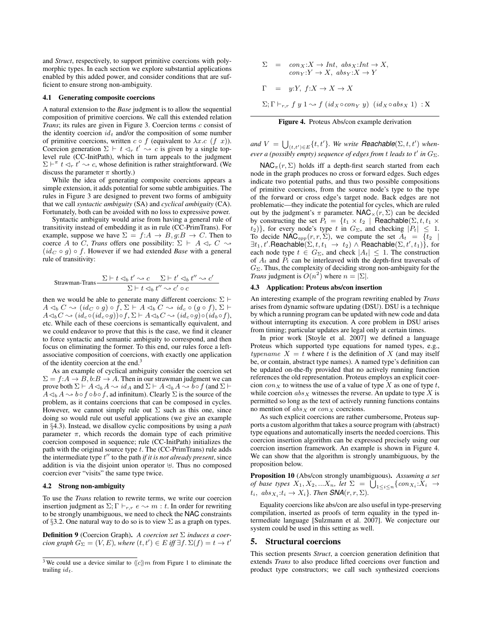and *Struct*, respectively, to support primitive coercions with polymorphic types. In each section we explore substantial applications enabled by this added power, and consider conditions that are sufficient to ensure strong non-ambiguity.

#### 4.1 Generating composite coercions

A natural extension to the *Base* judgment is to allow the sequential composition of primitive coercions. We call this extended relation *Trans*; its rules are given in Figure 3. Coercion terms c consist of the identity coercion  $id_t$  and/or the composition of some number of primitive coercions, written  $c \circ f$  (equivalent to  $\lambda x.c$  (f x)). Coercion generation  $\Sigma \vdash t \triangleleft_r t' \leadsto c$  is given by a single toplevel rule (CC-InitPath), which in turn appeals to the judgment  $\Sigma \vdash^{\pi} t \triangleleft_r t' \leadsto c$ , whose definition is rather straightforward. (We discuss the parameter  $\pi$  shortly.)

While the idea of generating composite coercions appears a simple extension, it adds potential for some subtle ambiguities. The rules in Figure 3 are designed to prevent two forms of ambiguity that we call *syntactic ambiguity* (SA) and *cyclical ambiguity* (CA). Fortunately, both can be avoided with no loss to expressive power.

Syntactic ambiguity would arise from having a general rule of transitivity instead of embedding it as in rule (CC-PrimTrans). For example, suppose we have  $\Sigma = f:A \rightarrow B, g:B \rightarrow C$ . Then to coerce A to C, *Trans* offers one possibility:  $\Sigma \vdash A \lhd_r C \rightarrow$  $(id_C \circ g) \circ f$ . However if we had extended *Base* with a general rule of transitivity:

Strawman-Trans 
$$
\frac{\Sigma \vdash t \lhd_b t' \rightarrow c \quad \Sigma \vdash t' \lhd_b t'' \rightarrow c'}{\Sigma \vdash t \lhd_b t'' \rightarrow c' \circ c}
$$

then we would be able to generate many different coercions:  $\Sigma \vdash$  $A \triangleleft_b C \leadsto (id_C \circ g) \circ f, \Sigma \vdash A \triangleleft_b C \leadsto id_c \circ (g \circ f), \Sigma \vdash$  $A \triangleleft_b C \leadsto (id_c \circ (id_c \circ g)) \circ f, \Sigma \vdash A \triangleleft_b C \leadsto (id_c \circ g) \circ (id_b \circ f),$ etc. While each of these coercions is semantically equivalent, and we could endeavor to prove that this is the case, we find it cleaner to force syntactic and semantic ambiguity to correspond, and then focus on eliminating the former. To this end, our rules force a leftassociative composition of coercions, with exactly one application of the identity coercion at the end.<sup>3</sup>

As an example of cyclical ambiguity consider the coercion set  $\Sigma = f:A \rightarrow B, b:B \rightarrow A$ . Then in our strawman judgment we can prove both  $\Sigma \vdash A \triangleleft_b A \leadsto id_A$  and  $\Sigma \vdash A \triangleleft_b A \leadsto b \circ f$  (and  $\Sigma \vdash$  $A \triangleleft_b A \rightsquigarrow b \circ f \circ b \circ f$ , ad infinitum). Clearly  $\Sigma$  is the source of the problem, as it contains coercions that can be composed in cycles. However, we cannot simply rule out  $\Sigma$  such as this one, since doing so would rule out useful applications (we give an example in §4.3). Instead, we disallow cyclic compositions by using a *path* parameter  $\pi$ , which records the domain type of each primitive coercion composed in sequence; rule (CC-InitPath) initializes the path with the original source type  $t$ . The (CC-PrimTrans) rule adds the intermediate type  $t''$  to the path *if it is not already present*, since addition is via the disjoint union operator  $\forall$ . Thus no composed coercion ever "visits" the same type twice.

# 4.2 Strong non-ambiguity

To use the *Trans* relation to rewrite terms, we write our coercion insertion judgment as  $\Sigma$ ;  $\Gamma \vdash_{r,r} e \leadsto m : t$ . In order for rewriting to be strongly unambiguous, we need to check the NAC constraints of §3.2. One natural way to do so is to view  $\Sigma$  as a graph on types.

Definition 9 (Coercion Graph). *A coercion set* Σ *induces a coercion graph*  $G_{\Sigma} = (V, E)$ , where  $(t, t') \in E$  iff  $\exists f$ .  $\Sigma(f) = t \rightarrow t'$ 

$$
\Sigma = \operatorname{con}_{X} : X \to \operatorname{Int}, \operatorname{abs}_{X} : \operatorname{Int} \to X,
$$
  

$$
\operatorname{con}_{Y} : Y \to X, \operatorname{abs}_{Y} : X \to Y
$$

$$
\Gamma = y:Y, f:X \to X \to X
$$

 $\Sigma; \Gamma \vdash_{r,r} f y 1 \leadsto f (id_X \circ con_Y y) (id_X \circ abs_X 1) : X$ 

Figure 4. Proteus Abs/con example derivation

 $\mathcal{L} = \bigcup_{(t,t') \in E} \{t, t'\}.$  We write  $\mathsf{Reachable}(\Sigma, t, t')$  when $e$ ver a (possibly empty) sequence of edges from  $t$  leads to  $t'$  in  $G_{\Sigma}$ .

 $NAC_{\pi}(r, \Sigma)$  holds iff a depth-first search started from each node in the graph produces no cross or forward edges. Such edges indicate two potential paths, and thus two possible compositions of primitive coercions, from the source node's type to the type of the forward or cross edge's target node. Back edges are not problematic—they indicate the potential for cycles, which are ruled out by the judgment's  $\pi$  parameter. NAC<sub>×</sub>( $r$ ,  $\Sigma$ ) can be decided by constructing the set  $P_t = \{t_1 \times t_2 \mid \text{Reachable}(\Sigma, t, t_1 \times t_2) \mid \text{Reachable}(\Sigma, t, t_2 \times t_1) \}$  $\{t_2\}$ , for every node's type t in  $G_{\Sigma}$ , and checking  $|P_t| \leq 1$ . To decide NAC<sub>app</sub> $(r, r, \Sigma)$ , we compute the set  $A_t = \{t_2 \mid$  $\exists t_1, t'.$ Reachable $(\Sigma, t, t_1 \rightarrow t_2) \wedge \overline{\textsf{Reachable}(\Sigma, t', t_1)}$ , for each node type  $t \in G_{\Sigma}$ , and check  $|A_t| \leq 1$ . The construction of  $A_t$  and  $P_t$  can be interleaved with the depth-first traversals of  $G_{\Sigma}$ . Thus, the complexity of deciding strong non-ambiguity for the *Trans* judgment is  $O(n^2)$  where  $n = |\Sigma|$ .

#### 4.3 Application: Proteus abs/con insertion

An interesting example of the program rewriting enabled by *Trans* arises from dynamic software updating (DSU). DSU is a technique by which a running program can be updated with new code and data without interrupting its execution. A core problem in DSU arises from timing; particular updates are legal only at certain times.

In prior work [Stoyle et al. 2007] we defined a language Proteus which supported type equations for named types, e.g., typename  $X = t$  where t is the definition of X (and may itself be, or contain, abstract type names). A named type's definition can be updated on-the-fly provided that no actively running function references the old representation. Proteus employs an explicit coercion  $\cos X$  to witness the use of a value of type X as one of type t, while coercion  $abs_X$  witnesses the reverse. An update to type X is permitted so long as the text of actively running functions contains no mention of  $abs_X$  or  $con_X$  coercions.

As such explicit coercions are rather cumbersome, Proteus supports a custom algorithm that takes a source program with (abstract) type equations and automatically inserts the needed coercions. This coercion insertion algorithm can be expressed precisely using our coercion insertion framework. An example is shown in Figure 4. We can show that the algorithm is strongly unambiguous, by the proposition below.

Proposition 10 (Abs/con strongly unambiguous). *Assuming a set of base types*  $X_1, X_2, ... X_n$ , let  $\Sigma = \bigcup_{1 \leq i \leq n} \{ con_{X_i} : X_i \rightarrow$  $t_i$ ,  $abs_{X_i}: t_i \rightarrow X_i$ *}. Then*  $\mathsf{SNA}(r, r, \Sigma)$ *.* 

Equality coercions like abs/con are also useful in type-preserving compilation, inserted as proofs of term equality in the typed intermediate language [Sulzmann et al. 2007]. We conjecture our system could be used in this setting as well.

## 5. Structural coercions

This section presents *Struct*, a coercion generation definition that extends *Trans* to also produce lifted coercions over function and product type constructors; we call such synthesized coercions

<sup>&</sup>lt;sup>3</sup> We could use a device similar to  $\langle\!\langle c \rangle\!\rangle m$  from Figure 1 to eliminate the trailing  $id_t$ .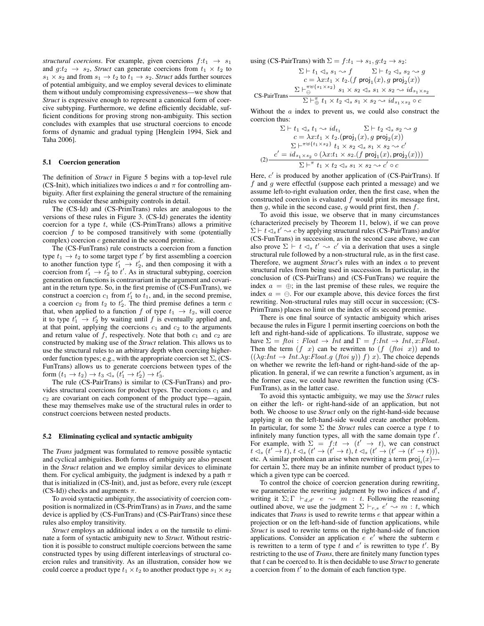*structural coercions*. For example, given coercions  $f: t_1 \rightarrow s_1$ and  $g:t_2 \rightarrow s_2$ , *Struct* can generate coercions from  $t_1 \times t_2$  to  $s_1 \times s_2$  and from  $s_1 \to t_2$  to  $t_1 \to s_2$ . *Struct* adds further sources of potential ambiguity, and we employ several devices to eliminate them without unduly compromising expressiveness—we show that *Struct* is expressive enough to represent a canonical form of coercive subtyping. Furthermore, we define efficiently decidable, sufficient conditions for proving strong non-ambiguity. This section concludes with examples that use structural coercions to encode forms of dynamic and gradual typing [Henglein 1994, Siek and Taha 2006].

#### 5.1 Coercion generation

The definition of *Struct* in Figure 5 begins with a top-level rule (CS-Init), which initializes two indices a and  $\pi$  for controlling ambiguity. After first explaining the general structure of the remaining rules we consider these ambiguity controls in detail.

The (CS-Id) and (CS-PrimTrans) rules are analogous to the versions of these rules in Figure 3. (CS-Id) generates the identity coercion for a type  $t$ , while (CS-PrimTrans) allows a primitive coercion  $f$  to be composed transitively with some (potentially complex) coercion  $c$  generated in the second premise.

The (CS-FunTrans) rule constructs a coercion from a function type  $t_1 \rightarrow t_2$  to some target type  $t'$  by first assembling a coercion to another function type  $t'_1 \rightarrow t'_2$ , and then composing it with a coercion from  $t'_1 \rightarrow t'_2$  to  $t'$ . As in structural subtyping, coercion generation on functions is contravariant in the argument and covariant in the return type. So, in the first premise of (CS-FunTrans), we construct a coercion  $c_1$  from  $t'_1$  to  $t_1$ , and, in the second premise, a coercion  $c_2$  from  $t_2$  to  $t'_2$ . The third premise defines a term  $c$ that, when applied to a function f of type  $t_1 \rightarrow t_2$ , will coerce it to type  $t'_1 \rightarrow t'_2$  by waiting until f is eventually applied and, at that point, applying the coercions  $c_1$  and  $c_2$  to the arguments and return value of  $f$ , respectively. Note that both  $c_1$  and  $c_2$  are constructed by making use of the *Struct* relation. This allows us to use the structural rules to an arbitrary depth when coercing higherorder function types; e.g., with the appropriate coercion set  $\Sigma$ , (CS-FunTrans) allows us to generate coercions between types of the form  $(t_1 \rightarrow t_2) \rightarrow t_3 \triangleleft_s (t'_1 \rightarrow t'_2) \rightarrow t'_3$ .

The rule (CS-PairTrans) is similar to (CS-FunTrans) and provides structural coercions for product types. The coercions  $c_1$  and  $c_2$  are covariant on each component of the product type—again, these may themselves make use of the structural rules in order to construct coercions between nested products.

#### 5.2 Eliminating cyclical and syntactic ambiguity

The *Trans* judgment was formulated to remove possible syntactic and cyclical ambiguities. Both forms of ambiguity are also present in the *Struct* relation and we employ similar devices to eliminate them. For cyclical ambiguity, the judgment is indexed by a path  $\pi$ that is initialized in (CS-Init), and, just as before, every rule (except (CS-Id)) checks and augments  $\pi$ .

To avoid syntactic ambiguity, the associativity of coercion composition is normalized in (CS-PrimTrans) as in *Trans*, and the same device is applied by (CS-FunTrans) and (CS-PairTrans) since these rules also employ transitivity.

*Struct* employs an additional index a on the turnstile to eliminate a form of syntactic ambiguity new to *Struct*. Without restriction it is possible to construct multiple coercions between the same constructed types by using different interleavings of structural coercion rules and transitivity. As an illustration, consider how we could coerce a product type  $t_1 \times t_2$  to another product type  $s_1 \times s_2$ 

using (CS-PairTrans) with  $\Sigma = f:t_1 \rightarrow s_1, gt:t_2 \rightarrow s_2$ :

$$
\begin{array}{ccl} \Sigma \vdash t_1 \lhd_s s_1 \leadsto f & \Sigma \vdash t_2 \lhd_s s_2 \leadsto g \\ c = \lambda x : t_1 \times t_2. (f \text{ proj}_1(x), g \text{ proj}_2(x)) \\ \text{CS-PairTrans} & \frac{\Sigma \vdash^{\pi \uplus \{s_1 \times s_2\}} s_1 \times s_2 \lhd_s s_1 \times s_2 \leadsto id_{s_1 \times s_2}}{\Sigma \vdash^{\pi}_{\oplus} t_1 \times t_2 \lhd_s s_1 \times s_2 \leadsto id_{s_1 \times s_2} \circ c} \end{array}
$$

Without the  $a$  index to prevent us, we could also construct the coercion thus:

$$
\Sigma \vdash t_1 \lhd_s t_1 \leadsto id_{t_1} \qquad \Sigma \vdash t_2 \lhd_s s_2 \leadsto g
$$
\n
$$
c = \lambda x : t_1 \times t_2. (\text{proj}_1(x), g \text{ proj}_2(x))
$$
\n
$$
\Sigma \vdash^{\pi \oplus \{t_1 \times s_2\}} t_1 \times s_2 \lhd_s s_1 \times s_2 \leadsto c'
$$
\n
$$
(2) \frac{c' = id_{s_1 \times s_2} \circ (\lambda x : t_1 \times s_2. (f \text{ proj}_1(x), \text{proj}_2(x)))}{\Sigma \vdash^{\pi} t_1 \times t_2 \lhd_s s_1 \times s_2 \leadsto c' \circ c}
$$

Here,  $c'$  is produced by another application of (CS-PairTrans). If f and  $g$  were effectful (suppose each printed a message) and we assume left-to-right evaluation order, then the first case, when the constructed coercion is evaluated  $f$  would print its message first, then  $g$ , while in the second case,  $g$  would print first, then  $f$ .

To avoid this issue, we observe that in many circumstances (characterized precisely by Theorem 11, below), if we can prove  $\Sigma \vdash t \triangleleft_s t' \leadsto c$  by applying structural rules (CS-PairTrans) and/or (CS-FunTrans) in succession, as in the second case above, we can also prove  $\Sigma$   $\vdash t \triangleleft_s t' \leadsto c'$  via a derivation that uses a single structural rule followed by a non-structural rule, as in the first case. Therefore, we augment *Struct*'s rules with an index a to prevent structural rules from being used in succession. In particular, in the conclusion of (CS-PairTrans) and (CS-FunTrans) we require the index  $a = \bigoplus$ ; in the last premise of these rules, we require the index  $a = \Theta$ . For our example above, this device forces the first rewriting. Non-structural rules may still occur in succession; (CS-PrimTrans) places no limit on the index of its second premise.

There is one final source of syntactic ambiguity which arises because the rules in Figure 1 permit inserting coercions on both the left and right-hand-side of applications. To illustrate, suppose we have  $\Sigma = ftoi : Float \rightarrow Int$  and  $\Gamma = f:Int \rightarrow Int, x: Float.$ Then the term  $(f \ x)$  can be rewritten to  $(f \ (ftoi \ x))$  and to  $((\lambda g: Int \rightarrow Int \cdot \lambda y: Float.g (ftoi y)) f) x)$ . The choice depends on whether we rewrite the left-hand or right-hand-side of the application. In general, if we can rewrite a function's argument, as in the former case, we could have rewritten the function using (CS-FunTrans), as in the latter case.

To avoid this syntactic ambiguity, we may use the *Struct* rules on either the left- or right-hand-side of an application, but not both. We choose to use *Struct* only on the right-hand-side because applying it on the left-hand-side would create another problem. In particular, for some  $\Sigma$  the *Struct* rules can coerce a type t to infinitely many function types, all with the same domain type  $t'$ . For example, with  $\Sigma = f: t \rightarrow (t' \rightarrow t)$ , we can construct  $t \triangleleft_s (t' \rightarrow t), t \triangleleft_s (t' \rightarrow (t' \rightarrow t), \dot{t} \triangleleft_s (t' \rightarrow (t' \rightarrow (t' \rightarrow t))),$ etc. A similar problem can arise when rewriting a term  $proj_i(x)$ for certain  $\Sigma$ , there may be an infinite number of product types to which a given type can be coerced.

To control the choice of coercion generation during rewriting, we parameterize the rewriting judgment by two indices d and  $\overline{d}$ , writing it  $\Sigma$ ; Γ  $\vdash_{d,d'} e \rightsquigarrow m : t$ . Following the reasoning outlined above, we use the judgment  $\Sigma \vdash_{r,s} e' \leadsto m : t$ , which indicates that *Trans* is used to rewrite terms e that appear within a projection or on the left-hand-side of function applications, while *Struct* is used to rewrite terms on the right-hand-side of function applications. Consider an application  $e^e$  where the subterm  $e$ is rewritten to a term of type t and  $e'$  is rewritten to type  $t'$ . By restricting to the use of *Trans*, there are finitely many function types that t can be coerced to. It is then decidable to use *Struct* to generate a coercion from  $t'$  to the domain of each function type.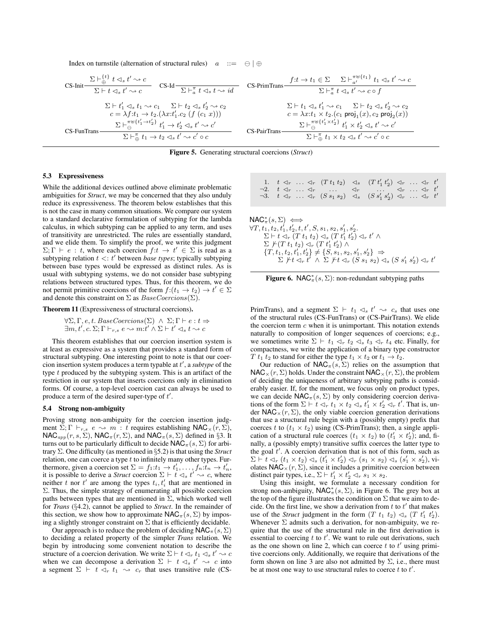Index on turnstile (alternation of structural rules)  $\alpha ::= \ominus | \oplus \alpha$ 

CS-Init 
$$
\frac{\Sigma \vdash_{\bigoplus}^{\{t\}} t \triangleleft_s t' \rightsquigarrow c}{\Sigma \vdash t \triangleleft_s t' \rightsquigarrow c} \quad \text{CS-Id} \frac{\Sigma \vdash_{a}^{\pi} t \triangleleft_s t \rightsquigarrow c}{\Sigma \vdash_{a}^{\pi} t \triangleleft_s t \rightsquigarrow id} \quad \text{CS-PrimTrans} \frac{f \cdot t \rightarrow t_1 \in \Sigma \quad \Sigma \vdash_{a'}^{\pi} \text{U1} \cdot t_1 \triangleleft_s t' \rightsquigarrow c}{\Sigma \vdash_{a}^{\pi} t \triangleleft_s t' \rightsquigarrow c \cdot f}
$$
\n
$$
\frac{\Sigma \vdash t_1' \triangleleft_s t_1 \rightsquigarrow c_1 \quad \Sigma \vdash t_2 \triangleleft_s t_2' \rightsquigarrow c_2}{c = \lambda f \cdot t_1 \rightarrow t_2. (\lambda x : t_1' \cdot c_2 \ (f \ (c_1 \ x)))} \quad \text{CS-FunTrans} \quad \frac{\Sigma \vdash t_1 \triangleleft_s t_1' \rightsquigarrow c_1 \quad \Sigma \vdash t_2 \triangleleft_s t_2' \rightsquigarrow c_2}{c = \lambda x : t_1 \times t_2. (c_1 \text{ proj}_1(x), c_2 \text{ proj}_2(x))}
$$
\nCS-FunTrans 
$$
\frac{\Sigma \vdash_{\bigoplus}^{\pi \uplus \{t_1' \rightarrow t_2'\}} t_1' \rightarrow t_2' \triangleleft_s t' \rightsquigarrow c'}{\Sigma \vdash_{\bigoplus}^{\pi \uplus \{t_1' \times t_2'\}} t_1' \times t_2' \triangleleft_s t' \rightsquigarrow c' \cdot \frac{\Sigma \vdash_{\bigoplus}^{\pi \uplus \{t_1' \times t_2'\}} t_1' \times t_2' \triangleleft_s t' \rightsquigarrow c'}{\Sigma \vdash_{\bigoplus}^{\pi} t_1 \times t_2 \triangleleft_s t' \rightsquigarrow c' \cdot c}
$$

Figure 5. Generating structural coercions (*Struct*)

#### 5.3 Expressiveness

While the additional devices outlined above eliminate problematic ambiguities for *Struct*, we may be concerned that they also unduly reduce its expressiveness. The theorem below establishes that this is not the case in many common situations. We compare our system to a standard declarative formulation of subtyping for the lambda calculus, in which subtyping can be applied to any term, and uses of transitivity are unrestricted. The rules are essentially standard, and we elide them. To simplify the proof, we write this judgment  $\Sigma; \Gamma \vdash e : t$ , where each coercion  $f: t \to t' \in \Sigma$  is read as a subtyping relation  $t \le t'$  between *base types*; typically subtyping between base types would be expressed as distinct rules. As is usual with subtyping systems, we do not consider base subtyping relations between structured types. Thus, for this theorem, we do not permit primitive coercions of the form  $f:(t_1 \to t_2) \to t' \in \Sigma$ and denote this constraint on  $\Sigma$  as  $BaseCoercions(\Sigma)$ .

Theorem 11 (Expressiveness of structural coercions).

$$
\forall \Sigma, \Gamma, e, t. \; BaseCoercions(\Sigma) \; \wedge \; \Sigma; \Gamma \vdash e : t \Rightarrow
$$
  

$$
\exists m, t', c. \; \Sigma; \Gamma \vdash_{r, s} e \sim m : t' \wedge \Sigma \vdash t' \lhd_s t \sim c
$$

This theorem establishes that our coercion insertion system is at least as expressive as a system that provides a standard form of structural subtyping. One interesting point to note is that our coercion insertion system produces a term typable at  $t'$ , a *subtype* of the type  $t$  produced by the subtyping system. This is an artifact of the restriction in our system that inserts coercions only in elimination forms. Of course, a top-level coercion cast can always be used to produce a term of the desired super-type of  $t'$ .

#### 5.4 Strong non-ambiguity

Proving strong non-ambiguity for the coercion insertion judgment  $\Sigma$ ;  $\Gamma \vdash_{r,s} e \rightsquigarrow m : t$  requires establishing NAC<sub>x</sub> $(r, \Sigma)$ ,  $NAC_{ann}(r, s, \Sigma)$ ,  $NAC_{\pi}(r, \Sigma)$ , and  $NAC_{\pi}(s, \Sigma)$  defined in §3. It turns out to be particularly difficult to decide  $NAC_{\pi}(s, \Sigma)$  for arbitrary Σ. One difficulty (as mentioned in §5.2) is that using the *Struct* relation, one can coerce a type  $t$  to infinitely many other types. Furthermore, given a coercion set  $\Sigma = f_1 : t_1 \to t'_1, \ldots, f_n : t'_n \to t'_n$ , it is possible to derive a *Struct* coercion  $\Sigma \vdash t \leq s t' \sim c$ , where neither t nor t' are among the types  $t_i, t'_i$  that are mentioned in Σ. Thus, the simple strategy of enumerating all possible coercion paths between types that are mentioned in  $\Sigma$ , which worked well for *Trans* (§4.2), cannot be applied to *Struct*. In the remainder of this section, we show how to approximate  $NAC_{\pi}(s, \Sigma)$  by imposing a slightly stronger constraint on  $\Sigma$  that is efficiently decidable.

Our approach is to reduce the problem of deciding  $NAC_{\pi}(s, \Sigma)$ to deciding a related property of the simpler *Trans* relation. We begin by introducing some convenient notation to describe the structure of a coercion derivation. We write  $\Sigma \vdash t \triangleleft_r t_1 \triangleleft_s t' \leadsto c$ when we can decompose a derivation  $\Sigma \vdash t \triangleleft_s t' \leadsto c$  into a segment  $\Sigma$   $\vdash$   $t \triangleleft_r t_1 \sim c_r$  that uses transitive rule (CS-

|  | 1. $t \leq r$ $\leq_r (T t_1 t_2) \leq s (T t'_1 t'_2) \leq r \dots \leq_r t'$                                                                                                                        |  |  |  |
|--|-------------------------------------------------------------------------------------------------------------------------------------------------------------------------------------------------------|--|--|--|
|  | $\neg 2. \quad t \vartriangleleft_r \quad \ldots \vartriangleleft_r \quad \ldots \quad \vartriangleleft_r \quad \ldots \quad \vartriangleleft_r \quad \ldots \vartriangleleft_r \quad t'$             |  |  |  |
|  | $\neg 3. \quad t \vartriangleleft_r \quad \dots \vartriangleleft_r \quad (S \ s_1 \ s_2) \quad \vartriangleleft_s \quad (S \ s'_1 \ s'_2) \vartriangleleft_r \quad \dots \vartriangleleft_r \quad t'$ |  |  |  |

| $NAC^*_\pi(s,\Sigma) \iff$                                                                                                                |  |
|-------------------------------------------------------------------------------------------------------------------------------------------|--|
| $\forall T, t_1, t_2, t'_1, t'_2, t, t', S, s_1, s_2, s'_1, s'_2.$                                                                        |  |
| $\Sigma \vdash t \triangleleft_r (T t_1 t_2) \triangleleft_s (T t'_1 t'_2) \triangleleft_r t' \wedge$                                     |  |
| $\Sigma \not\vdash (T t_1 t_2) \lhd_r (T t'_1 t'_2) \wedge$                                                                               |  |
| ${T, t_1, t_2, t'_1, t'_2} \neq {S, s_1, s_2, s'_1, s'_2} \Rightarrow$                                                                    |  |
| $\Sigma \nvdash t \triangleleft_r t' \land \Sigma \nvdash t \triangleleft_r (S s_1 s_2) \triangleleft_s (S s'_1 s'_2) \triangleleft_r t'$ |  |



PrimTrans), and a segment  $\Sigma$   $\vdash$   $t_1 \triangleleft_s t' \sim c_s$  that uses one of the structural rules (CS-FunTrans) or (CS-PairTrans). We elide the coercion term  $c$  when it is unimportant. This notation extends naturally to composition of longer sequences of coercions; e.g., we sometimes write  $\Sigma \vdash t_1 \lhd_r t_2 \lhd_s t_3 \lhd_r t_4$  etc. Finally, for compactness, we write the application of a binary type constructor T  $t_1$   $t_2$  to stand for either the type  $t_1 \times t_2$  or  $t_1 \rightarrow t_2$ .

Our reduction of  $NAC_{\pi}(s, \Sigma)$  relies on the assumption that  $NAC_{\times}(r, \Sigma)$  holds. Under the constraint  $NAC_{\times}(r, \Sigma)$ , the problem of deciding the uniqueness of arbitrary subtyping paths is considerably easier. If, for the moment, we focus only on product types, we can decide  $NAC_{\pi}(s, \Sigma)$  by only considering coercion derivations of the form  $\Sigma \vdash t \lhd_r t_1 \times t_2 \lhd_s t'_1 \times t'_2 \lhd_r t'$ . That is, under  $NAC_{\times}(r, \Sigma)$ , the only viable coercion generation derivations that use a structural rule begin with a (possibly empty) prefix that coerces t to  $(t_1 \times t_2)$  using (CS-PrimTrans); then, a single application of a structural rule coerces  $(t_1 \times t_2)$  to  $(t'_1 \times t'_2)$ ; and, finally, a (possibly empty) transitive suffix coerces the latter type to the goal  $t'$ . A coercion derivation that is not of this form, such as  $\Sigma \vdash t \lhd_r (t_1 \times t_2) \lhd_s (t'_1 \times t'_2) \lhd_r (s_1 \times s_2) \lhd_s (s'_1 \times s'_2)$ , violates  $NAC_{\times}(r, \Sigma)$ , since it includes a primitive coercion between distinct pair types, i.e.,  $\Sigma \vdash t'_1 \times t'_2 \lhd_r s_1 \times s_2$ .

Using this insight, we formulate a necessary condition for strong non-ambiguity,  $NAC^*_{\pi}(s, \Sigma)$ , in Figure 6. The grey box at the top of the figure illustrates the condition on  $\Sigma$  that we aim to decide. On the first line, we show a derivation from  $t$  to  $t'$  that makes use of the *Struct* judgment in the form  $(T t_1 t_2) \triangleleft_s (T t_1' t_2').$ Whenever  $\Sigma$  admits such a derivation, for non-ambiguity, we require that the use of the structural rule in the first derivation is essential to coercing  $t$  to  $t'$ . We want to rule out derivations, such as the one shown on line 2, which can coerce  $t$  to  $t'$  using primitive coercions only. Additionally, we require that derivations of the form shown on line 3 are also not admitted by  $\Sigma$ , i.e., there must be at most one way to use structural rules to coerce  $t$  to  $t'$ .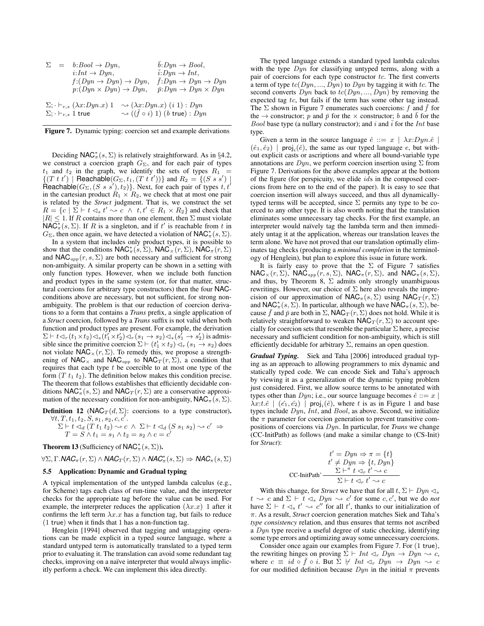| $\Sigma =$ | $b:Bool \rightarrow Dyn,$                      | $b:Dyn \rightarrow Bool,$                               |
|------------|------------------------------------------------|---------------------------------------------------------|
|            | $i: Int \rightarrow Dyn,$                      | $i:Dyn \rightarrow Int,$                                |
|            | $f:(Dyn \rightarrow Dyn) \rightarrow Dyn,$     | $f:Dyn \rightarrow Dyn \rightarrow Dyn$                 |
|            | $p:(Dyn \times Dyn) \rightarrow Dyn,$          | $\bar{p}: Dyn \rightarrow Dyn \times Dyn$               |
|            |                                                |                                                         |
|            | $\Sigma$ ; $\vdash_{r,s} (\lambda x: Dyn.x)$ 1 | $\rightsquigarrow (\lambda x: Dyn.x)$ $(i 1): Dyn$      |
|            | $\Sigma$ ; $\vdash_{r,s} 1$ true               | $\rightsquigarrow ((\bar{f} \circ i) 1)$ (b true) : Dyn |

|  |  |  | Figure 7. Dynamic typing: coercion set and example derivations |
|--|--|--|----------------------------------------------------------------|
|  |  |  |                                                                |
|  |  |  |                                                                |

Deciding NAC<sup>\*</sup><sub> $\pi$ </sub>( $s$ ,  $\Sigma$ ) is relatively straightforward. As in §4.2, we construct a coercion graph  $G_{\Sigma}$ , and for each pair of types  $t_1$  and  $t_2$  in the graph, we identify the sets of types  $R_1$  =  $\{(T \ t \ t') \mid \textsf{Reachable}(G_{\Sigma}, t_1, (T \ t \ t'))\}$  and  $R_2 = \{(S \ s \ s') \mid$ Reachable $(G_\Sigma, (S \ s \ s'), t_2)$ . Next, for each pair of types  $t, t'$ in the cartesian product  $R_1 \times R_2$ , we check that at most one pair is related by the *Struct* judgment. That is, we construct the set  $R = \{c \mid \Sigma \vdash t \lhd_s t' \leadsto c \land t, t' \in R_1 \times R_2\}$  and check that  $|R| \leq 1$ . If R contains more than one element, then  $\Sigma$  must violate  $\overline{\textsf{NAC}_{\pi}^{*}}(s, \Sigma)$ . If R is a singleton, and if t' is reachable from t in  $G_{\Sigma}$ , then once again, we have detected a violation of NAC<sup>\*</sup><sub> $\pi$ </sub>(s,  $\Sigma$ ).

In a system that includes only product types, it is possible to show that the conditions  $NAC_{\pi}^*(s, \Sigma)$ ,  $NAC_{\times}(r, \Sigma)$ ,  $NAC_{\pi}(r, \Sigma)$ and  $NAC_{app}(r, s, \Sigma)$  are both necessary and sufficient for strong non-ambiguity. A similar property can be shown in a setting with only function types. However, when we include both function and product types in the same system (or, for that matter, structural coercions for arbitrary type constructors) then the four NACconditions above are necessary, but not sufficient, for strong nonambiguity. The problem is that our reduction of coercion derivations to a form that contains a *Trans* prefix, a single application of a *Struct* coercion, followed by a *Trans* suffix is not valid when both function and product types are present. For example, the derivation  $\Sigma\vdash t\lhd_r (t_1 \times t_2)\lhd_s (t_1' \times t_2')\lhd_r (s_1 \to s_2)\lhd_s (s_1' \to s_2')$  is admissible since the primitive coercion  $\Sigma \vdash (t'_1 \times t_2) \triangleleft_r (s_1 \rightarrow s_2)$  does not violate  $NAC_{\times}(r, \Sigma)$ . To remedy this, we propose a strengthening of NAC<sub>x</sub> and NAC<sub>app</sub> to NAC<sub>T</sub>( $r, \Sigma$ ), a condition that requires that each type  $t$  be coercible to at most one type of the form  $(T t_1 t_2)$ . The definition below makes this condition precise. The theorem that follows establishes that efficiently decidable conditions  $\mathsf{NAC}^*_\pi(s,\Sigma)$  and  $\mathsf{NAC}_T(r,\Sigma)$  are a conservative approximation of the necessary condition for non-ambiguity,  $NAC_{\pi}(s, \Sigma)$ .

**Definition 12** (NAC<sub>T</sub> $(d, \Sigma)$ : coercions to a type constructor).  $\forall t, T, t_1, t_2, S, s_1, s_2, c, c'.$ 

$$
\Sigma \vdash t \triangleleft_d (T t_1 t_2) \rightsquigarrow c \wedge \Sigma \vdash t \triangleleft_d (S s_1 s_2) \rightsquigarrow c' \Rightarrow
$$
  
\n
$$
T = S \wedge t_1 = s_1 \wedge t_2 = s_2 \wedge c = c'
$$

**Theorem 13** (Sufficiency of NAC<sup>\*</sup><sub> $\pi$ </sub> $(s, \Sigma)$ ).

 $\forall \Sigma, \Gamma \mathcal{A} \mathcal{A} \mathcal{C}_{\pi}(r, \Sigma) \wedge \mathsf{NAC}_T(r, \Sigma) \wedge \mathsf{NAC}_{\pi}^*(s, \Sigma) \Rightarrow \mathsf{NAC}_{\pi}(s, \Sigma)$ 

#### 5.5 Application: Dynamic and Gradual typing

A typical implementation of the untyped lambda calculus (e.g., for Scheme) tags each class of run-time value, and the interpreter checks for the appropriate tag before the value can be used. For example, the interpreter reduces the application  $(\lambda x.x)$  1 after it confirms the left term  $\lambda x.x$  has a function tag, but fails to reduce (1 true) when it finds that 1 has a non-function tag.

Henglein [1994] observed that tagging and untagging operations can be made explicit in a typed source language, where a standard untyped term is automatically translated to a typed term prior to evaluating it. The translation can avoid some redundant tag checks, improving on a naïve interpreter that would always implicitly perform a check. We can implement this idea directly.

The typed language extends a standard typed lambda calculus with the type  $Dyn$  for classifying untyped terms, along with a pair of coercions for each type constructor  $tc$ . The first converts a term of type  $tc(Dyn, ..., Dyn)$  to  $Dyn$  by tagging it with tc. The second converts  $Dyn$  back to  $tc(Dyn, ..., Dyn)$  by removing the expected tag tc, but fails if the term has some other tag instead. The  $\Sigma$  shown in Figure 7 enumerates such coercions: f and  $\bar{f}$  for the  $\rightarrow$  constructor; p and  $\bar{p}$  for the  $\times$  constructor; b and b for the *Bool* base type (a nullary constructor); and i and  $\overline{i}$  for the *Int* base type.

Given a term in the source language  $\hat{e} ::= x \mid \lambda x : Dyn \cdot \hat{e}$  $(\hat{e}_1, \hat{e}_2)$  | proj<sub>i</sub> $(\hat{e})$ , the same as our typed language e, but without explicit casts or ascriptions and where all bound-variable type annotations are  $Dyn$ , we perform coercion insertion using  $\Sigma$  from Figure 7. Derivations for the above examples appear at the bottom of the figure (for perspicuity, we elide ids in the composed coercions from here on to the end of the paper). It is easy to see that coercion insertion will always succeed, and thus all dynamicallytyped terms will be accepted, since  $\Sigma$  permits any type to be coerced to any other type. It is also worth noting that the translation eliminates some unnecessary tag checks. For the first example, an interpreter would naïvely tag the lambda term and then immediately untag it at the application, whereas our translation leaves the term alone. We have not proved that our translation optimally eliminates tag checks (producing a *minimal completion* in the terminology of Henglein), but plan to explore this issue in future work.

It is fairly easy to prove that the  $\Sigma$  of Figure 7 satisfies  $NAC_{\times}(r, \Sigma)$ , NAC<sub>app</sub> $(r, s, \Sigma)$ , NAC<sub>π</sub> $(r, \Sigma)$ , and NAC<sub>π</sub> $(s, \Sigma)$ , and thus, by Theorem 8,  $\Sigma$  admits only strongly unambiguous rewritings. However, our choice of  $\Sigma$  here also reveals the imprecision of our approximation of  $NAC_{\pi}(s, \Sigma)$  using  $NAC_T(r, \Sigma)$ and  $\mathsf{NAC}^*_\pi(s, \Sigma)$ . In particular, although we have  $\mathsf{NAC}_\pi(s, \Sigma)$ , because  $\bar{f}$  and  $\bar{p}$  are both in  $\Sigma$ , NAC<sub>T</sub> (r,  $\Sigma$ ) does not hold. While it is relatively straightforward to weaken  $NAC_T(r, \Sigma)$  to account specially for coercion sets that resemble the particular  $\Sigma$  here, a precise necessary and sufficient condition for non-ambiguity, which is still efficiently decidable for arbitrary  $\Sigma$ , remains an open question.

*Gradual Typing.* Siek and Taha [2006] introduced gradual typing as an approach to allowing programmers to mix dynamic and statically typed code. We can encode Siek and Taha's approach by viewing it as a generalization of the dynamic typing problem just considered. First, we allow source terms to be annotated with types other than  $Dyn$ ; i.e., our source language becomes  $\hat{e} ::= x \mid$  $\lambda x$ :t. $\hat{e}$  |  $(\hat{e_1}, \hat{e_2})$  | proj<sub>i</sub> $(\hat{e})$ , where t is as in Figure 1 and base types include Dyn, Int, and Bool, as above. Second, we initialize the  $\pi$  parameter for coercion generation to prevent transitive compositions of coercions via Dyn. In particular, for *Trans* we change (CC-InitPath) as follows (and make a similar change to (CS-Init) for *Struct*):

$$
t' = Dyn \Rightarrow \pi = \{t\}
$$

$$
t' \neq Dyn \Rightarrow \{t, Dyn\}
$$
CC-InitPath'
$$
\frac{\sum \vdash^{\pi} t \triangleleft_r t' \rightsquigarrow c}{\sum \vdash t \triangleleft_r t' \rightsquigarrow c}
$$

With this change, for *Struct* we have that for all  $t, \Sigma \vdash Dyn \triangleleft_s$  $t \rightsquigarrow c$  and  $\Sigma \vdash t \triangleleft_s Dyn \rightsquigarrow c'$  for some  $c, c'$ , but we do *not* have  $\Sigma \vdash t \triangleleft_s t' \leadsto c''$  for all t', thanks to our initialization of π. As a result, *Struct* coercion generation matches Siek and Taha's *type consistency* relation, and thus ensures that terms not ascribed a Dyn type receive a useful degree of static checking, identifying some type errors and optimizing away some unnecessary coercions.

Consider once again our examples from Figure 7. For (1 true), the rewriting hinges on proving  $\Sigma \vdash Int \triangleleft_r \overline{D}yn \to Dyn \leadsto c$ , where  $c \equiv id \circ \bar{f} \circ i$ . But  $\Sigma \not\vdash Int \lhd_r Dyn \rightarrow Dyn \rightsquigarrow c$ for our modified definition because  $Dyn$  in the initial  $\pi$  prevents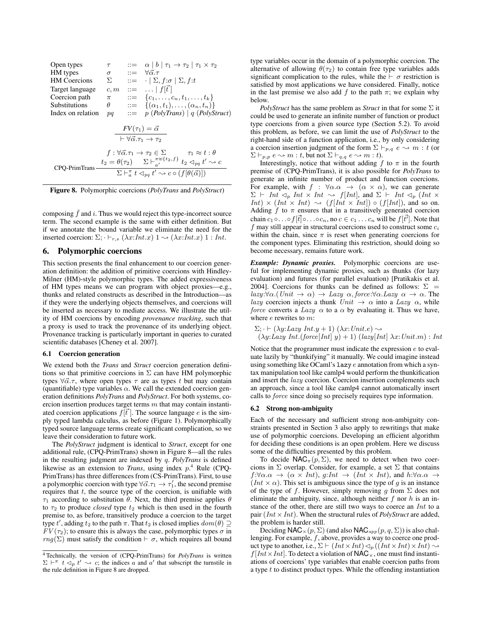Open types 
$$
\tau
$$
 ::=  $\alpha | b | \tau_1 \rightarrow \tau_2 | \tau_1 \times \tau_2$   
\nHM types  $\sigma$  ::=  $\forall \vec{\alpha}.\tau$   
\nHM Corecions  $\Sigma$  ::=  $\cdot | \Sigma, f : \sigma | \Sigma, f : t$   
\nTarget language  $c, m$  ::=  $\dots | f[\vec{t}]$   
\nCercion path  $\pi$  ::=  $\{c_1, \dots, c_n, t_1, \dots, t_k\}$   
\nSubstitutions  $\theta$  ::=  $\{( \alpha_1, t_1), \dots, (\alpha_n, t_n) \}$   
\nIndex on relation  $pq$  ::=  $p (PolyTrans) | q (PolyStruct)$   
\n
$$
\frac{FV(\tau_1) = \vec{\alpha}}{+ \forall \vec{\alpha}. \tau_1 \rightarrow \tau_2}
$$
\n
$$
f : \forall \vec{\alpha}. \tau_1 \rightarrow \tau_2 \in \Sigma
$$
\n
$$
\tau_1 \approx t : \theta
$$
\nCPQ-PrimTrans  $\frac{t_2 = \theta(\tau_2) \quad \Sigma \vdash_{a'}^{\pi \psi \{t_2, f\}} t_2 \triangleleft_{pq} t' \rightsquigarrow c}{\Sigma \vdash_{a}^{\pi} t \triangleleft_{pq} t' \rightsquigarrow c \circ (f[\theta(\vec{\alpha})])}$ 



composing  $f$  and  $i$ . Thus we would reject this type-incorrect source term. The second example is the same with either definition. But if we annotate the bound variable we eliminate the need for the inserted coercion:  $\Sigma$ ;  $\vdash_{r,s} (\lambda x: Int.x) \quad 1 \rightsquigarrow (\lambda x: Int.x) \quad 1 : Int.$ 

# 6. Polymorphic coercions

This section presents the final enhancement to our coercion generation definition: the addition of primitive coercions with Hindley-Milner (HM)-style polymorphic types. The added expressiveness of HM types means we can program with object proxies—e.g., thunks and related constructs as described in the Introduction—as if they were the underlying objects themselves, and coercions will be inserted as necessary to mediate access. We illustrate the utility of HM coercions by encoding *provenance tracking*, such that a proxy is used to track the provenance of its underlying object. Provenance tracking is particularly important in queries to curated scientific databases [Cheney et al. 2007].

#### 6.1 Coercion generation

We extend both the *Trans* and *Struct* coercion generation definitions so that primitive coercions in  $\Sigma$  can have HM polymorphic types  $\forall \vec{\alpha}.\tau$ , where open types  $\tau$  are as types t but may contain (quantifiable) type variables  $\alpha$ . We call the extended coercion generation definitions *PolyTrans* and *PolyStruct*. For both systems, coercion insertion produces target terms  $m$  that may contain instantiated coercion applications  $f[\vec{t}]$ . The source language e is the simply typed lambda calculus, as before (Figure 1). Polymorphically typed source language terms create significant complication, so we leave their consideration to future work.

The *PolyStruct* judgment is identical to *Struct*, except for one additional rule, (CPQ-PrimTrans) shown in Figure 8—all the rules in the resulting judgment are indexed by q. *PolyTrans* is defined likewise as an extension to *Trans*, using index  $p^4$ . Rule (CPQ-PrimTrans) has three differences from (CS-PrimTrans). First, to use a polymorphic coercion with type  $\forall \vec{\alpha}. \tau_1 \rightarrow \tau_1'$ , the second premise requires that  $t$ , the source type of the coercion, is unifiable with  $τ_1$  according to substitution  $θ$ . Next, the third premise applies  $θ$ to  $\tau_2$  to produce *closed* type  $t_2$  which is then used in the fourth premise to, as before, transitively produce a coercion to the target type t', adding  $t_2$  to the path  $\pi$ . That  $t_2$  is closed implies  $dom(\theta) \supseteq$  $FV(\tau_2)$ ; to ensure this is always the case, polymorphic types  $\sigma$  in  $rng(\Sigma)$  must satisfy the condition  $\vdash \sigma$ , which requires all bound type variables occur in the domain of a polymorphic coercion. The alternative of allowing  $\theta(\tau_2)$  to contain free type variables adds significant complication to the rules, while the  $\vdash \sigma$  restriction is satisfied by most applications we have considered. Finally, notice in the last premise we also add f to the path  $\pi$ ; we explain why below.

*PolyStruct* has the same problem as *Struct* in that for some Σ it could be used to generate an infinite number of function or product type coercions from a given source type (Section 5.2). To avoid this problem, as before, we can limit the use of *PolyStruct* to the right-hand side of a function application, i.e., by only considering a coercion insertion judgment of the form  $\Sigma \vdash_{p,q} e \leadsto m : t$  (or  $\Sigma \vdash_{p,p} e \leadsto m : t$ , but not  $\Sigma \vdash_{q,q} e \leadsto m : t$ ).

Interestingly, notice that without adding f to  $\pi$  in the fourth premise of (CPQ-PrimTrans), it is also possible for *PolyTrans* to generate an infinite number of product and function coercions. For example, with  $f : \forall \alpha \cdot \alpha \rightarrow (\alpha \times \alpha)$ , we can generate  $\Sigma$   $\vdash$  Int  $\triangleleft_p$  Int  $\times$  Int  $\leadsto$  f[Int], and  $\Sigma$   $\vdash$  Int  $\triangleleft_p$  (Int  $\times$  $Int) \times (Int \times Int) \sim (f[Int \times Int]) \circ (f[Int]),$  and so on. Adding  $f$  to  $\pi$  ensures that in a transitively generated coercion chain  $c_1 \circ \ldots \circ f[\vec{t}] \circ \ldots \circ c_n$ , no  $c \in c_1 \ldots c_n$  will be  $f[\vec{t}']$ . Note that f may still appear in structural coercions used to construct some  $c_i$ within the chain, since  $\pi$  is reset when generating coercions for the component types. Eliminating this restriction, should doing so become necessary, remains future work.

*Example: Dynamic proxies.* Polymorphic coercions are useful for implementing dynamic proxies, such as thunks (for lazy evaluation) and futures (for parallel evaluation) [Pratikakis et al. 2004]. Coercions for thunks can be defined as follows:  $\Sigma =$  $lazy: \forall \alpha. (Unit \rightarrow \alpha) \rightarrow Lazy \alpha, force: \forall \alpha. Lazy \alpha \rightarrow \alpha$ . The *lazy* coercion injects a thunk  $Unit \rightarrow \alpha$  into a Lazy  $\alpha$ , while *force* converts a Lazy  $\alpha$  to a  $\alpha$  by evaluating it. Thus we have, where *e* rewrites to *m*:

$$
\Sigma; \ \vdash (\lambda y: Lazy Int.y + 1) (\lambda x: Unit.e) \sim
$$
  

$$
(\lambda y: Lazy Int. (force[Int] y) + 1) (lazy[Int] \lambda x: Unit.m) : Int
$$

Notice that the programmer must indicate the expression e to evaluate lazily by "thunkifying" it manually. We could imagine instead using something like OCaml's lazy e annotation from which a syntax manipulation tool like camlp4 would perform the thunkification and insert the lazy coercion. Coercion insertion complements such an approach, since a tool like camlp4 cannot automatically insert calls to force since doing so precisely requires type information.

#### 6.2 Strong non-ambiguity

Each of the necessary and sufficient strong non-ambiguity constraints presented in Section 3 also apply to rewritings that make use of polymorphic coercions. Developing an efficient algorithm for deciding these conditions is an open problem. Here we discuss some of the difficulties presented by this problem.

To decide  $NAC_{\pi}(p, \Sigma)$ , we need to detect when two coercions in  $\Sigma$  overlap. Consider, for example, a set  $\Sigma$  that contains  $f:\forall \alpha.\alpha \rightarrow (\alpha \times Int), g: Int \rightarrow (Int \times Int),$  and  $h:\forall \alpha.\alpha \rightarrow$  $(Int \times \alpha)$ . This set is ambiguous since the type of g is an instance of the type of f. However, simply removing g from  $\Sigma$  does not eliminate the ambiguity, since, although neither  $f$  nor  $h$  is an instance of the other, there are still two ways to coerce an Int to a pair  $(Int \times Int)$ . When the structural rules of *PolyStruct* are added, the problem is harder still.

Deciding NAC<sub>×</sub>( $p$ ,  $\Sigma$ ) (and also NAC<sub>app</sub>( $p$ ,  $q$ ,  $\Sigma$ )) is also challenging. For example, f, above, provides a way to coerce one product type to another, i.e.,  $\Sigma \vdash (Int \times Int) \triangleleft_p ((Int \times Int) \times Int) \leadsto$  $f[Int \times Int]$ . To detect a violation of NAC<sub>×</sub>, one must find instantiations of coercions' type variables that enable coercion paths from a type  $t$  to distinct product types. While the offending instantiation

<sup>4</sup> Technically, the version of (CPQ-PrimTrans) for *PolyTrans* is written  $\Sigma \vdash^{\pi} t \Leftrightarrow c$ ; the indices a and a' that subscript the turnstile in the rule definition in Figure 8 are dropped.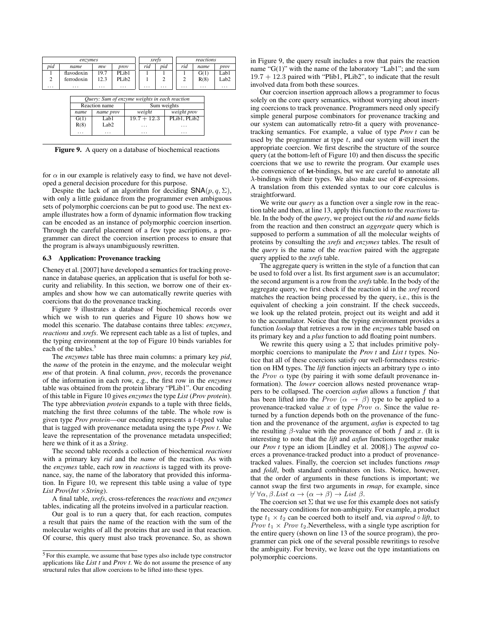|                | enzymes                                       |            |                  |                   |  |               |          | xrefs          |                         |                |          | reactions |                  |
|----------------|-----------------------------------------------|------------|------------------|-------------------|--|---------------|----------|----------------|-------------------------|----------------|----------|-----------|------------------|
| pid            |                                               | name       | mw               | prov              |  |               | rid      | pid            |                         | rid            |          | name      | prov             |
|                |                                               | flavodoxin | 19.7             | PLib1             |  |               |          |                |                         |                |          | G(1)      | Lab1             |
| $\overline{c}$ |                                               | ferrodoxin | 12.3             | PLib <sub>2</sub> |  |               |          | $\overline{c}$ |                         | $\overline{c}$ |          | R(8)      | Lab <sub>2</sub> |
| .              |                                               | $\cdots$   | $\cdots$         | $\cdots$          |  |               | .        | .              |                         | .              | $\cdots$ |           | $\cdots$         |
|                | Ouery: Sum of enzyme weights in each reaction |            |                  |                   |  |               |          |                |                         |                |          |           |                  |
|                |                                               |            | Reaction name    |                   |  |               |          | Sum weights    |                         |                |          |           |                  |
|                |                                               | name       | name prov        |                   |  |               | weight   | weight prov    |                         |                |          |           |                  |
|                |                                               | G(1)       | Lab1             |                   |  | $19.7 + 12.3$ |          | PLib1, PLib2   |                         |                |          |           |                  |
|                |                                               | R(8)       | Lab <sub>2</sub> |                   |  |               | $\cdots$ |                | $\cdots$                |                |          |           |                  |
|                |                                               | $\cdots$   | $\cdots$         |                   |  | $\cdots$      |          |                | $\cdot$ $\cdot$ $\cdot$ |                |          |           |                  |
|                |                                               |            |                  |                   |  |               |          |                |                         |                |          |           |                  |

Figure 9. A query on a database of biochemical reactions

for  $\alpha$  in our example is relatively easy to find, we have not developed a general decision procedure for this purpose.

Despite the lack of an algorithm for deciding  $\text{SNA}(p, q, \Sigma)$ , with only a little guidance from the programmer even ambiguous sets of polymorphic coercions can be put to good use. The next example illustrates how a form of dynamic information flow tracking can be encoded as an instance of polymorphic coercion insertion. Through the careful placement of a few type ascriptions, a programmer can direct the coercion insertion process to ensure that the program is always unambiguously rewritten.

# 6.3 Application: Provenance tracking

Cheney et al. [2007] have developed a semantics for tracking provenance in database queries, an application that is useful for both security and reliability. In this section, we borrow one of their examples and show how we can automatically rewrite queries with coercions that do the provenance tracking.

Figure 9 illustrates a database of biochemical records over which we wish to run queries and Figure 10 shows how we model this scenario. The database contains three tables: *enzymes*, *reactions* and *xrefs*. We represent each table as a list of tuples, and the typing environment at the top of Figure 10 binds variables for each of the tables.<sup>5</sup>

The *enzymes* table has three main columns: a primary key *pid*, the *name* of the protein in the enzyme, and the molecular weight *mw* of that protein. A final column, *prov*, records the provenance of the information in each row, e.g., the first row in the *enzymes* table was obtained from the protein library "PLib1". Our encoding of this table in Figure 10 gives *enzymes* the type *List* (*Prov protein*). The type abbreviation *protein* expands to a tuple with three fields, matching the first three columns of the table. The whole row is given type *Prov protein*—our encoding represents a t-typed value that is tagged with provenance metadata using the type *Prov t*. We leave the representation of the provenance metadata unspecified; here we think of it as a *String*.

The second table records a collection of biochemical *reactions* with a primary key *rid* and the *name* of the reaction. As with the *enzymes* table, each row in *reactions* is tagged with its provenance, say, the name of the laboratory that provided this information. In Figure 10, we represent this table using a value of type *List Prov*(*Int* ×*String*).

A final table, *xrefs*, cross-references the *reactions* and *enzymes* tables, indicating all the proteins involved in a particular reaction.

Our goal is to run a query that, for each reaction, computes a result that pairs the name of the reaction with the sum of the molecular weights of all the proteins that are used in that reaction. Of course, this query must also track provenance. So, as shown

in Figure 9, the query result includes a row that pairs the reaction name "G(1)" with the name of the laboratory "Lab1"; and the sum 19.7 + 12.3 paired with "Plib1, PLib2", to indicate that the result involved data from both these sources.

Our coercion insertion approach allows a programmer to focus solely on the core query semantics, without worrying about inserting coercions to track provenance. Programmers need only specify simple general purpose combinators for provenance tracking and our system can automatically retro-fit a query with provenancetracking semantics. For example, a value of type *Prov t* can be used by the programmer at type  $t$ , and our system will insert the appropriate coercion. We first describe the structure of the source query (at the bottom-left of Figure 10) and then discuss the specific coercions that we use to rewrite the program. Our example uses the convenience of let-bindings, but we are careful to annotate all λ-bindings with their types. We also make use of if-expressions. A translation from this extended syntax to our core calculus is straightforward.

We write our *query* as a function over a single row in the reaction table and then, at line 13, apply this function to the *reactions* table. In the body of the *query*, we project out the *rid* and *name* fields from the reaction and then construct an *aggregate* query which is supposed to perform a summation of all the molecular weights of proteins by consulting the *xrefs* and *enzymes* tables. The result of the *query* is the name of the *reaction* paired with the aggregate query applied to the *xrefs* table.

The aggregate query is written in the style of a function that can be used to fold over a list. Its first argument *sum* is an accumulator; the second argument is a row from the *xrefs* table. In the body of the aggregate query, we first check if the reaction id in the *xref* record matches the reaction being processed by the query, i.e., this is the equivalent of checking a join constraint. If the check succeeds, we look up the related protein, project out its weight and add it to the accumulator. Notice that the typing environment provides a function *lookup* that retrieves a row in the *enzymes* table based on its primary key and a *plus* function to add floating point numbers.

We rewrite this query using a  $\Sigma$  that includes primitive polymorphic coercions to manipulate the *Prov t* and *List t* types. Notice that all of these coercions satisfy our well-formedness restriction on HM types. The *lift* function injects an arbitrary type  $\alpha$  into the *Prov*  $\alpha$  type (by pairing it with some default provenance information). The *lower* coercion allows nested provenance wrappers to be collapsed. The coercion *asfun* allows a function f that has been lifted into the Prov  $(\alpha \rightarrow \beta)$  type to be applied to a provenance-tracked value x of type  $Prov \alpha$ . Since the value returned by a function depends both on the provenance of the function and the provenance of the argument, *asfun* is expected to tag the resulting  $\beta$ -value with the provenance of both f and x. (It is interesting to note that the *lift* and *asfun* functions together make our *Prov t* type an idiom [Lindley et al. 2008].) The *asprod* coerces a provenance-tracked product into a product of provenancetracked values. Finally, the coercion set includes functions *rmap* and *foldl*, both standard combinators on lists. Notice, however, that the order of arguments in these functions is important; we cannot swap the first two arguments in *rmap*, for example, since  $\nforall \forall \alpha, \beta$ .List  $\alpha \rightarrow (\alpha \rightarrow \beta) \rightarrow$  List  $\beta$ .

The coercion set  $\Sigma$  that we use for this example does not satisfy the necessary conditions for non-ambiguity. For example, a product type  $t_1 \times t_2$  can be coerced both to itself and, via *asprod*  $\circ$  *lift*, to *Prov*  $t_1 \times P$ *rov*  $t_2$ . Nevertheless, with a single type ascription for the entire query (shown on line 13 of the source program), the programmer can pick one of the several possible rewritings to resolve the ambiguity. For brevity, we leave out the type instantiations on polymorphic coercions.

<sup>5</sup> For this example, we assume that base types also include type constructor applications like *List t* and *Prov t*. We do not assume the presence of any structural rules that allow coercions to be lifted into these types.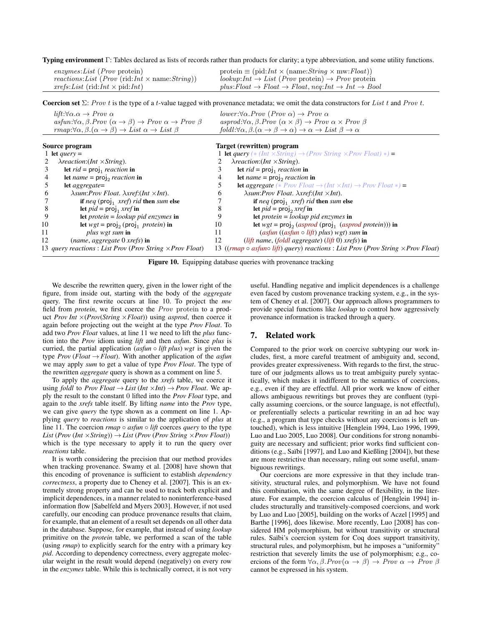Typing environment Γ: Tables declared as lists of records rather than products for clarity; a type abbreviation, and some utility functions.

| <i>enzymes: List (Prov</i> protein)                                       | $protein \equiv (pid: Int \times (name:String \times mw:Float))$                           |
|---------------------------------------------------------------------------|--------------------------------------------------------------------------------------------|
| <i>reactions: List (Prov (rid: Int <math>\times</math> name: String))</i> | $lookup: Int \rightarrow List (Prov protein) \rightarrow Prov protein$                     |
| <i>xrefs:List</i> (rid: <i>Int</i> $\times$ pid: <i>Int</i> )             | $plus:Float \rightarrow float \rightarrow float, neg:Int \rightarrow Int \rightarrow Bool$ |

Coercion set  $\Sigma$ : Prov t is the type of a t-value tagged with provenance metadata; we omit the data constructors for List t and Prov t.

| $lift:\forall \alpha \ldotp \alpha \rightarrow \text{Prov } \alpha$                                                 | $lower:\forall \alpha. Prov (Prov \alpha) \rightarrow Prov \alpha$                                                                                |
|---------------------------------------------------------------------------------------------------------------------|---------------------------------------------------------------------------------------------------------------------------------------------------|
| $asfun:\forall \alpha, \beta. Prov \ (\alpha \rightarrow \beta) \rightarrow Prov \ \alpha \rightarrow Prov \ \beta$ | $asprod:\forall \alpha, \beta. Prov \ (\alpha \times \beta) \rightarrow Prov \ \alpha \times Prov \ \beta$                                        |
| $rmap: \forall \alpha, \beta.(\alpha \rightarrow \beta) \rightarrow List \alpha \rightarrow List \beta$             | $fold\mathcal{C}\forall \alpha, \beta.(\alpha \rightarrow \beta \rightarrow \alpha) \rightarrow \alpha \rightarrow List \beta \rightarrow \alpha$ |

| Source program                                                    | Target (rewritten) program                                                                                                      |
|-------------------------------------------------------------------|---------------------------------------------------------------------------------------------------------------------------------|
| 1 let <i>query</i> =                                              | 1 <b>let</b> <i>query</i> (* (Int $\times$ <i>String</i> ) $\rightarrow$ ( <i>Prov String</i> $\times$ <i>Prov Float</i> ) *) = |
| $\lambda$ reaction:(Int $\times$ String).                         | $\lambda$ reaction:(Int $\times$ String).                                                                                       |
| let <i>rid</i> = $proj_1$ <i>reaction</i> in<br>3                 | let rid = $proj_1$ reaction in                                                                                                  |
| let <i>name</i> = $proj_2$ <i>reaction</i> in<br>4                | let <i>name</i> = $proj_2$ <i>reaction</i> in<br>4                                                                              |
| 5<br>let aggregate=                                               | <b>let</b> aggregate (* Prov Float $\rightarrow$ (Int $\times$ Int) $\rightarrow$ Prov Float *) =                               |
| $\lambda$ sum:Prov Float. $\lambda$ xref:(Int $\times$ Int).<br>6 | $\lambda$ sum: Prov Float. $\lambda$ xref: (Int $\times$ Int).<br>o                                                             |
| if neq (proj <sub>1</sub> xref) rid then sum else                 | if neq (proj <sub>1</sub> xref) rid then sum else                                                                               |
| let $pid = \text{proj}_1 xref$ in<br>8                            | let <i>pid</i> = $proj_2$ <i>xref</i> in                                                                                        |
| 9<br>let protein = $lookup$ pid enzymes in                        | let $protein = lookup$ pid enzymes in                                                                                           |
| 10<br>let $wgt = \text{proj}_2(\text{proj}_1 \text{ protein})$ in | let $wgt = \text{proj}_2 (asprod (\text{proj}_1 (asprod) protein)))$ in<br>10                                                   |
| 11<br><i>plus wgt sum</i> in                                      | (asfun ((asfun $\circ$ lift) plus) wgt) sum in<br>11                                                                            |
| 12<br>(name, aggregate $0$ xrefs) in                              | (lift name, (foldl aggregate) (lift 0) xrefs) in<br>12                                                                          |
| 13 query reactions : List Prov (Prov String $\times$ Prov Float)  | 13 ((rmap $\circ$ asfun $\circ$ lift) query) reactions : List Prov (Prov String $\times$ Prov Float)                            |

Figure 10. Equipping database queries with provenance tracking

We describe the rewritten query, given in the lower right of the figure, from inside out, starting with the body of the *aggregate* query. The first rewrite occurs at line 10. To project the *mw* field from *protein*, we first coerce the Prov protein to a product *Prov Int*  $\times$ (*Prov*(*String*  $\times$ *Float*)) using *asprod*, then coerce it again before projecting out the weight at the type *Prov Float*. To add two *Prov Float* values, at line 11 we need to lift the *plus* function into the *Prov* idiom using *lift* and then *asfun*. Since *plus* is curried, the partial application ( $a$ *sfun*  $\circ$  *lift plus*) *wgt* is given the type  $Prov$  (*Float*  $\rightarrow$  *Float*). With another application of the *asfun* we may apply *sum* to get a value of type *Prov Float*. The type of the rewritten *aggregate* query is shown as a comment on line 5.

To apply the *aggregate* query to the *xrefs* table, we coerce it using *foldl* to *Prov Float*  $\rightarrow$  *List* (*Int*  $\times$ *Int*)  $\rightarrow$  *Prov Float.* We apply the result to the constant 0 lifted into the *Prov Float* type, and again to the *xrefs* table itself. By lifting *name* into the *Prov* type, we can give *query* the type shown as a comment on line 1. Applying *query* to *reactions* is similar to the application of *plus* at line 11. The coercion *rmap* ◦ *asfun* ◦ *lift* coerces *query* to the type *List* (*Prov* (*Int*  $\times$ *String*))  $\rightarrow$  *List* (*Prov* (*Prov String*  $\times$ *Prov Float*)) which is the type necessary to apply it to run the query over *reactions* table.

It is worth considering the precision that our method provides when tracking provenance. Swamy et al. [2008] have shown that this encoding of provenance is sufficient to establish *dependency correctness*, a property due to Cheney et al. [2007]. This is an extremely strong property and can be used to track both explicit and implicit dependences, in a manner related to noninterference-based information flow [Sabelfeld and Myers 2003]. However, if not used carefully, our encoding can produce provenance results that claim, for example, that an element of a result set depends on all other data in the database. Suppose, for example, that instead of using *lookup* primitive on the *protein* table, we performed a scan of the table (using *rmap*) to explicitly search for the entry with a primary key *pid*. According to dependency correctness, every aggregate molecular weight in the result would depend (negatively) on every row in the *enzymes* table. While this is technically correct, it is not very useful. Handling negative and implicit dependences is a challenge even faced by custom provenance tracking system, e.g., in the system of Cheney et al. [2007]. Our approach allows programmers to provide special functions like *lookup* to control how aggressively provenance information is tracked through a query.

# 7. Related work

Compared to the prior work on coercive subtyping our work includes, first, a more careful treatment of ambiguity and, second, provides greater expressiveness. With regards to the first, the structure of our judgments allows us to treat ambiguity purely syntactically, which makes it indifferent to the semantics of coercions, e.g., even if they are effectful. All prior work we know of either allows ambiguous rewritings but proves they are confluent (typically assuming coercions, or the source language, is not effectful), or preferentially selects a particular rewriting in an ad hoc way (e.g., a program that type checks without any coercions is left untouched), which is less intuitive [Henglein 1994, Luo 1996, 1999, Luo and Luo 2005, Luo 2008]. Our conditions for strong nonambiguity are necessary and sufficient; prior works find sufficient conditions (e.g., Saïbi [1997], and Luo and Kießling [2004]), but these are more restrictive than necessary, ruling out some useful, unambiguous rewritings.

Our coercions are more expressive in that they include transitivity, structural rules, and polymorphism. We have not found this combination, with the same degree of flexibility, in the literature. For example, the coercion calculus of [Henglein 1994] includes structurally and transitively-composed coercions, and work by Luo and Luo [2005], building on the works of Aczel [1995] and Barthe [1996], does likewise. More recently, Luo [2008] has considered HM polymorphism, but without transitivity or structural rules. Saïbi's coercion system for Coq does support transitivity, structural rules, and polymorphism, but he imposes a "uniformity" restriction that severely limits the use of polymorphism; e.g., coercions of the form  $\forall \alpha, \beta. Prov(\alpha \to \beta) \to Prov \alpha \to Prov \beta$ cannot be expressed in his system.